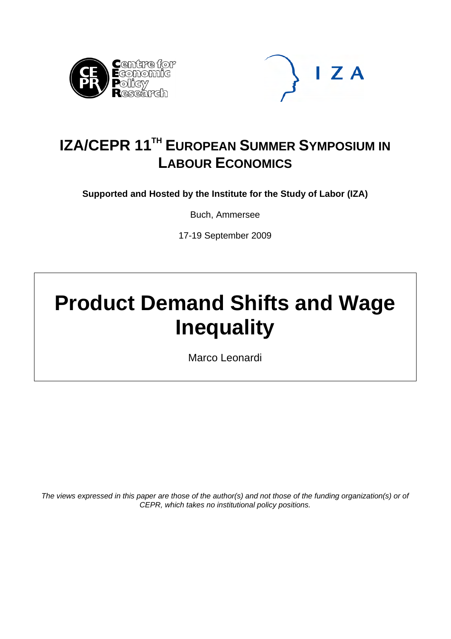



# **IZA/CEPR 11<sup>TH</sup> EUROPEAN SUMMER SYMPOSIUM IN LABOUR ECONOMICS**

**Supported and Hosted by the Institute for the Study of Labor (IZA)** 

Buch, Ammersee

17-19 September 2009

# **Product Demand Shifts and Wage Inequality**

Marco Leonardi

*The views expressed in this paper are those of the author(s) and not those of the funding organization(s) or of CEPR, which takes no institutional policy positions.*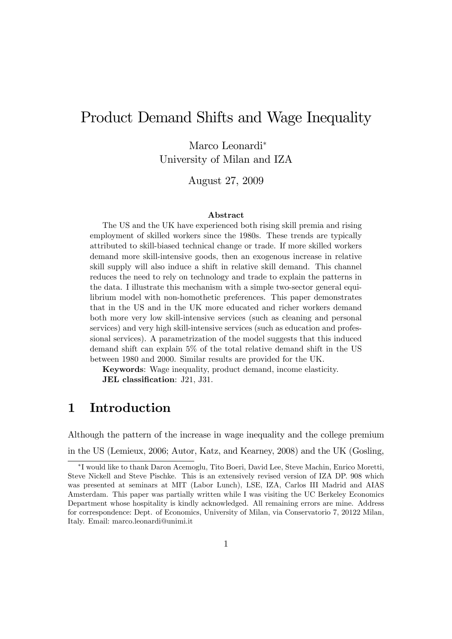# Product Demand Shifts and Wage Inequality

Marco Leonardi University of Milan and IZA

August 27, 2009

#### Abstract

The US and the UK have experienced both rising skill premia and rising employment of skilled workers since the 1980s. These trends are typically attributed to skill-biased technical change or trade. If more skilled workers demand more skill-intensive goods, then an exogenous increase in relative skill supply will also induce a shift in relative skill demand. This channel reduces the need to rely on technology and trade to explain the patterns in the data. I illustrate this mechanism with a simple two-sector general equilibrium model with non-homothetic preferences. This paper demonstrates that in the US and in the UK more educated and richer workers demand both more very low skill-intensive services (such as cleaning and personal services) and very high skill-intensive services (such as education and professional services). A parametrization of the model suggests that this induced demand shift can explain 5% of the total relative demand shift in the US between 1980 and 2000. Similar results are provided for the UK.

Keywords: Wage inequality, product demand, income elasticity. JEL classification: J21, J31.

# 1 Introduction

Although the pattern of the increase in wage inequality and the college premium in the US (Lemieux, 2006; Autor, Katz, and Kearney, 2008) and the UK (Gosling,

I would like to thank Daron Acemoglu, Tito Boeri, David Lee, Steve Machin, Enrico Moretti, Steve Nickell and Steve Pischke. This is an extensively revised version of IZA DP. 908 which was presented at seminars at MIT (Labor Lunch), LSE, IZA, Carlos III Madrid and AIAS Amsterdam. This paper was partially written while I was visiting the UC Berkeley Economics Department whose hospitality is kindly acknowledged. All remaining errors are mine. Address for correspondence: Dept. of Economics, University of Milan, via Conservatorio 7, 20122 Milan, Italy. Email: marco.leonardi@unimi.it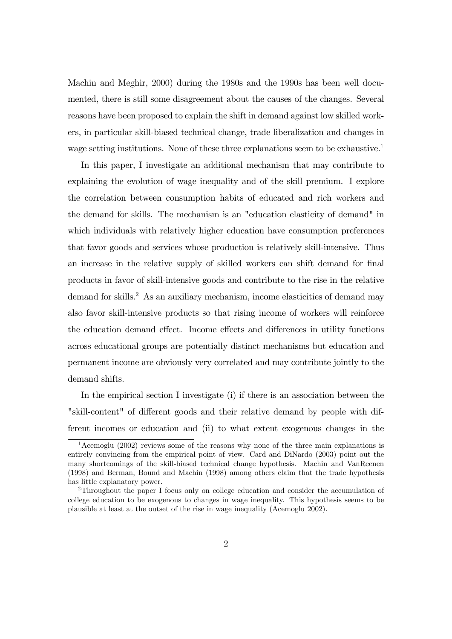Machin and Meghir, 2000) during the 1980s and the 1990s has been well documented, there is still some disagreement about the causes of the changes. Several reasons have been proposed to explain the shift in demand against low skilled workers, in particular skill-biased technical change, trade liberalization and changes in wage setting institutions. None of these three explanations seem to be exhaustive.<sup>1</sup>

In this paper, I investigate an additional mechanism that may contribute to explaining the evolution of wage inequality and of the skill premium. I explore the correlation between consumption habits of educated and rich workers and the demand for skills. The mechanism is an "education elasticity of demand" in which individuals with relatively higher education have consumption preferences that favor goods and services whose production is relatively skill-intensive. Thus an increase in the relative supply of skilled workers can shift demand for final products in favor of skill-intensive goods and contribute to the rise in the relative demand for skills.<sup>2</sup> As an auxiliary mechanism, income elasticities of demand may also favor skill-intensive products so that rising income of workers will reinforce the education demand effect. Income effects and differences in utility functions across educational groups are potentially distinct mechanisms but education and permanent income are obviously very correlated and may contribute jointly to the demand shifts.

In the empirical section I investigate (i) if there is an association between the "skill-content" of different goods and their relative demand by people with different incomes or education and (ii) to what extent exogenous changes in the

 $1$ Acemoglu (2002) reviews some of the reasons why none of the three main explanations is entirely convincing from the empirical point of view. Card and DiNardo (2003) point out the many shortcomings of the skill-biased technical change hypothesis. Machin and VanReenen (1998) and Berman, Bound and Machin (1998) among others claim that the trade hypothesis has little explanatory power.

<sup>2</sup>Throughout the paper I focus only on college education and consider the accumulation of college education to be exogenous to changes in wage inequality. This hypothesis seems to be plausible at least at the outset of the rise in wage inequality (Acemoglu 2002).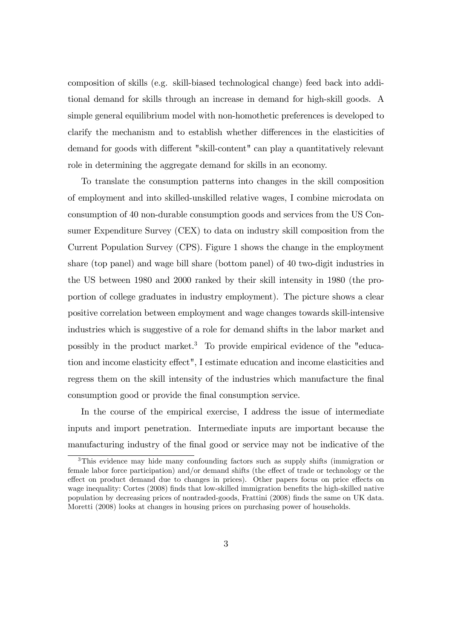composition of skills (e.g. skill-biased technological change) feed back into additional demand for skills through an increase in demand for high-skill goods. A simple general equilibrium model with non-homothetic preferences is developed to clarify the mechanism and to establish whether differences in the elasticities of demand for goods with different "skill-content" can play a quantitatively relevant role in determining the aggregate demand for skills in an economy.

To translate the consumption patterns into changes in the skill composition of employment and into skilled-unskilled relative wages, I combine microdata on consumption of 40 non-durable consumption goods and services from the US Consumer Expenditure Survey (CEX) to data on industry skill composition from the Current Population Survey (CPS). Figure 1 shows the change in the employment share (top panel) and wage bill share (bottom panel) of 40 two-digit industries in the US between 1980 and 2000 ranked by their skill intensity in 1980 (the proportion of college graduates in industry employment). The picture shows a clear positive correlation between employment and wage changes towards skill-intensive industries which is suggestive of a role for demand shifts in the labor market and possibly in the product market.<sup>3</sup> To provide empirical evidence of the "education and income elasticity effect", I estimate education and income elasticities and regress them on the skill intensity of the industries which manufacture the final consumption good or provide the final consumption service.

In the course of the empirical exercise, I address the issue of intermediate inputs and import penetration. Intermediate inputs are important because the manufacturing industry of the final good or service may not be indicative of the

<sup>3</sup>This evidence may hide many confounding factors such as supply shifts (immigration or female labor force participation) and/or demand shifts (the effect of trade or technology or the effect on product demand due to changes in prices). Other papers focus on price effects on wage inequality: Cortes (2008) finds that low-skilled immigration benefits the high-skilled native population by decreasing prices of nontraded-goods, Frattini (2008) Önds the same on UK data. Moretti (2008) looks at changes in housing prices on purchasing power of households.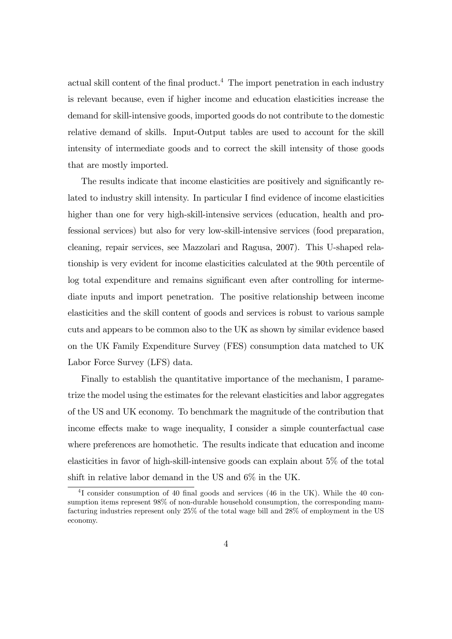actual skill content of the final product.<sup>4</sup> The import penetration in each industry is relevant because, even if higher income and education elasticities increase the demand for skill-intensive goods, imported goods do not contribute to the domestic relative demand of skills. Input-Output tables are used to account for the skill intensity of intermediate goods and to correct the skill intensity of those goods that are mostly imported.

The results indicate that income elasticities are positively and significantly related to industry skill intensity. In particular I find evidence of income elasticities higher than one for very high-skill-intensive services (education, health and professional services) but also for very low-skill-intensive services (food preparation, cleaning, repair services, see Mazzolari and Ragusa, 2007). This U-shaped relationship is very evident for income elasticities calculated at the 90th percentile of log total expenditure and remains significant even after controlling for intermediate inputs and import penetration. The positive relationship between income elasticities and the skill content of goods and services is robust to various sample cuts and appears to be common also to the UK as shown by similar evidence based on the UK Family Expenditure Survey (FES) consumption data matched to UK Labor Force Survey (LFS) data.

Finally to establish the quantitative importance of the mechanism, I parametrize the model using the estimates for the relevant elasticities and labor aggregates of the US and UK economy. To benchmark the magnitude of the contribution that income effects make to wage inequality, I consider a simple counterfactual case where preferences are homothetic. The results indicate that education and income elasticities in favor of high-skill-intensive goods can explain about 5% of the total shift in relative labor demand in the US and 6% in the UK.

<sup>&</sup>lt;sup>4</sup>I consider consumption of 40 final goods and services (46 in the UK). While the 40 consumption items represent 98% of non-durable household consumption, the corresponding manufacturing industries represent only 25% of the total wage bill and 28% of employment in the US economy.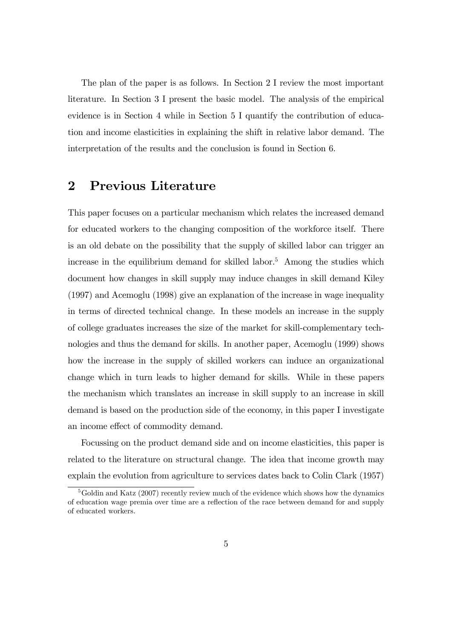The plan of the paper is as follows. In Section 2 I review the most important literature. In Section 3 I present the basic model. The analysis of the empirical evidence is in Section 4 while in Section 5 I quantify the contribution of education and income elasticities in explaining the shift in relative labor demand. The interpretation of the results and the conclusion is found in Section 6.

## 2 Previous Literature

This paper focuses on a particular mechanism which relates the increased demand for educated workers to the changing composition of the workforce itself. There is an old debate on the possibility that the supply of skilled labor can trigger an increase in the equilibrium demand for skilled labor.<sup>5</sup> Among the studies which document how changes in skill supply may induce changes in skill demand Kiley (1997) and Acemoglu (1998) give an explanation of the increase in wage inequality in terms of directed technical change. In these models an increase in the supply of college graduates increases the size of the market for skill-complementary technologies and thus the demand for skills. In another paper, Acemoglu (1999) shows how the increase in the supply of skilled workers can induce an organizational change which in turn leads to higher demand for skills. While in these papers the mechanism which translates an increase in skill supply to an increase in skill demand is based on the production side of the economy, in this paper I investigate an income effect of commodity demand.

Focussing on the product demand side and on income elasticities, this paper is related to the literature on structural change. The idea that income growth may explain the evolution from agriculture to services dates back to Colin Clark (1957)

 $5G$ oldin and Katz (2007) recently review much of the evidence which shows how the dynamics of education wage premia over time are a reflection of the race between demand for and supply of educated workers.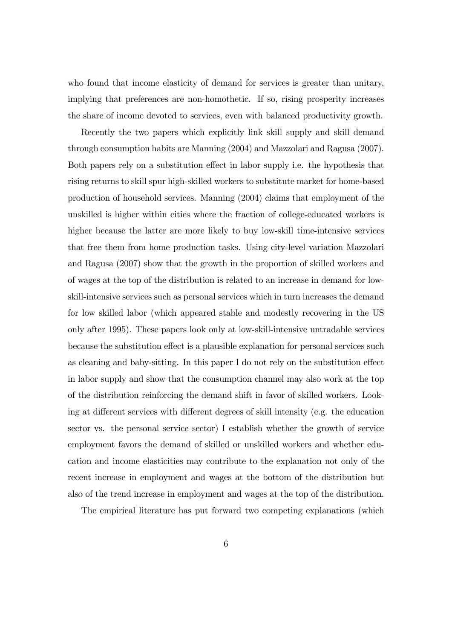who found that income elasticity of demand for services is greater than unitary, implying that preferences are non-homothetic. If so, rising prosperity increases the share of income devoted to services, even with balanced productivity growth.

Recently the two papers which explicitly link skill supply and skill demand through consumption habits are Manning (2004) and Mazzolari and Ragusa (2007). Both papers rely on a substitution effect in labor supply i.e. the hypothesis that rising returns to skill spur high-skilled workers to substitute market for home-based production of household services. Manning (2004) claims that employment of the unskilled is higher within cities where the fraction of college-educated workers is higher because the latter are more likely to buy low-skill time-intensive services that free them from home production tasks. Using city-level variation Mazzolari and Ragusa (2007) show that the growth in the proportion of skilled workers and of wages at the top of the distribution is related to an increase in demand for lowskill-intensive services such as personal services which in turn increases the demand for low skilled labor (which appeared stable and modestly recovering in the US only after 1995). These papers look only at low-skill-intensive untradable services because the substitution effect is a plausible explanation for personal services such as cleaning and baby-sitting. In this paper I do not rely on the substitution effect in labor supply and show that the consumption channel may also work at the top of the distribution reinforcing the demand shift in favor of skilled workers. Looking at different services with different degrees of skill intensity (e.g. the education sector vs. the personal service sector) I establish whether the growth of service employment favors the demand of skilled or unskilled workers and whether education and income elasticities may contribute to the explanation not only of the recent increase in employment and wages at the bottom of the distribution but also of the trend increase in employment and wages at the top of the distribution.

The empirical literature has put forward two competing explanations (which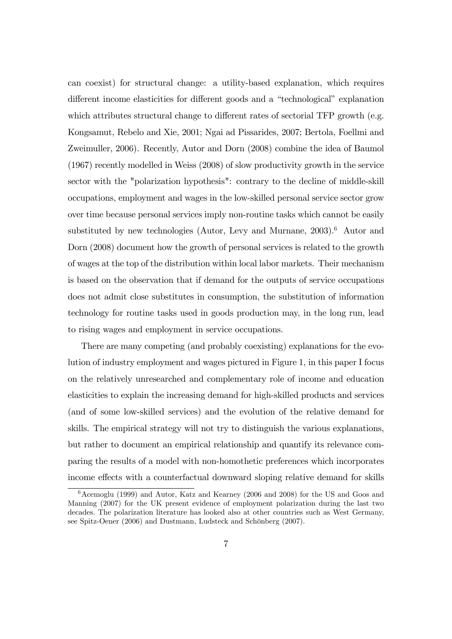can coexist) for structural change: a utility-based explanation, which requires different income elasticities for different goods and a "technological" explanation which attributes structural change to different rates of sectorial TFP growth (e.g. Kongsamut, Rebelo and Xie, 2001; Ngai ad Pissarides, 2007; Bertola, Foellmi and Zweimuller, 2006). Recently, Autor and Dorn (2008) combine the idea of Baumol (1967) recently modelled in Weiss (2008) of slow productivity growth in the service sector with the "polarization hypothesis": contrary to the decline of middle-skill occupations, employment and wages in the low-skilled personal service sector grow over time because personal services imply non-routine tasks which cannot be easily substituted by new technologies (Autor, Levy and Murnane,  $2003$ ).<sup>6</sup> Autor and Dorn (2008) document how the growth of personal services is related to the growth of wages at the top of the distribution within local labor markets. Their mechanism is based on the observation that if demand for the outputs of service occupations does not admit close substitutes in consumption, the substitution of information technology for routine tasks used in goods production may, in the long run, lead to rising wages and employment in service occupations.

There are many competing (and probably coexisting) explanations for the evolution of industry employment and wages pictured in Figure 1, in this paper I focus on the relatively unresearched and complementary role of income and education elasticities to explain the increasing demand for high-skilled products and services (and of some low-skilled services) and the evolution of the relative demand for skills. The empirical strategy will not try to distinguish the various explanations, but rather to document an empirical relationship and quantify its relevance comparing the results of a model with non-homothetic preferences which incorporates income effects with a counterfactual downward sloping relative demand for skills

 $6$ Acemoglu (1999) and Autor, Katz and Kearney (2006 and 2008) for the US and Goos and Manning (2007) for the UK present evidence of employment polarization during the last two decades. The polarization literature has looked also at other countries such as West Germany, see Spitz-Oener (2006) and Dustmann, Ludsteck and Schönberg (2007).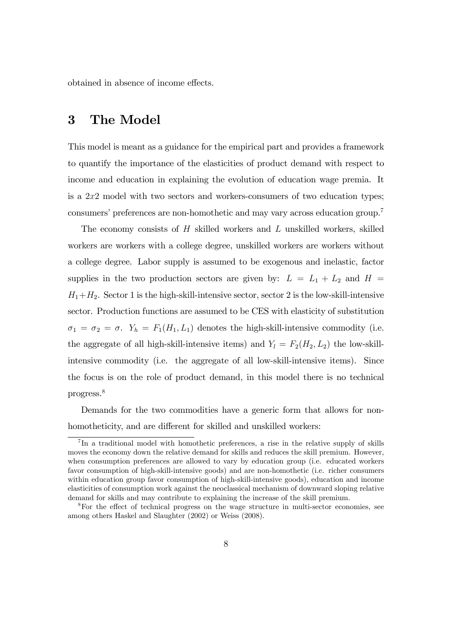obtained in absence of income effects.

# 3 The Model

This model is meant as a guidance for the empirical part and provides a framework to quantify the importance of the elasticities of product demand with respect to income and education in explaining the evolution of education wage premia. It is a  $2x2$  model with two sectors and workers-consumers of two education types; consumers' preferences are non-homothetic and may vary across education group.<sup>7</sup>

The economy consists of  $H$  skilled workers and  $L$  unskilled workers, skilled workers are workers with a college degree, unskilled workers are workers without a college degree. Labor supply is assumed to be exogenous and inelastic, factor supplies in the two production sectors are given by:  $L = L_1 + L_2$  and  $H =$  $H_1+H_2$ . Sector 1 is the high-skill-intensive sector, sector 2 is the low-skill-intensive sector. Production functions are assumed to be CES with elasticity of substitution  $\sigma_1 = \sigma_2 = \sigma$ .  $Y_h = F_1(H_1, L_1)$  denotes the high-skill-intensive commodity (i.e. the aggregate of all high-skill-intensive items) and  $Y_l = F_2(H_2, L_2)$  the low-skillintensive commodity (i.e. the aggregate of all low-skill-intensive items). Since the focus is on the role of product demand, in this model there is no technical progress.<sup>8</sup>

Demands for the two commodities have a generic form that allows for nonhomotheticity, and are different for skilled and unskilled workers:

<sup>&</sup>lt;sup>7</sup>In a traditional model with homothetic preferences, a rise in the relative supply of skills moves the economy down the relative demand for skills and reduces the skill premium. However, when consumption preferences are allowed to vary by education group (i.e. educated workers favor consumption of high-skill-intensive goods) and are non-homothetic (i.e. richer consumers within education group favor consumption of high-skill-intensive goods), education and income elasticities of consumption work against the neoclassical mechanism of downward sloping relative demand for skills and may contribute to explaining the increase of the skill premium.

 $8$ For the effect of technical progress on the wage structure in multi-sector economies, see among others Haskel and Slaughter (2002) or Weiss (2008).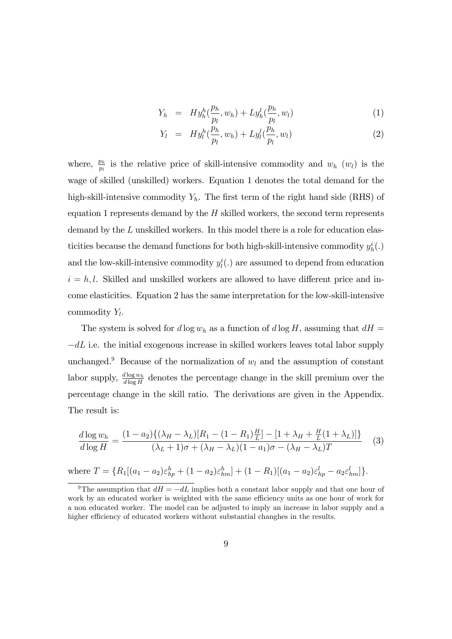$$
Y_h = H y_h^h(\frac{p_h}{p_l}, w_h) + L y_h^l(\frac{p_h}{p_l}, w_l)
$$
\n(1)

$$
Y_{l} = H y_{l}^{h}(\frac{p_{h}}{p_{l}}, w_{h}) + L y_{l}^{l}(\frac{p_{h}}{p_{l}}, w_{l}) \qquad (2)
$$

where,  $\frac{p_h}{p_l}$  is the relative price of skill-intensive commodity and  $w_h(w_l)$  is the wage of skilled (unskilled) workers. Equation 1 denotes the total demand for the high-skill-intensive commodity  $Y_h$ . The first term of the right hand side (RHS) of equation 1 represents demand by the  $H$  skilled workers, the second term represents demand by the L unskilled workers. In this model there is a role for education elasticities because the demand functions for both high-skill-intensive commodity  $y_h^i(.)$ and the low-skill-intensive commodity  $y_l^i(.)$  are assumed to depend from education  $i = h, l$ . Skilled and unskilled workers are allowed to have different price and income elasticities. Equation 2 has the same interpretation for the low-skill-intensive commodity  $Y_l$ .

The system is solved for d log  $w_h$  as a function of d log H, assuming that  $dH =$  $-dL$  i.e. the initial exogenous increase in skilled workers leaves total labor supply unchanged.<sup>9</sup> Because of the normalization of  $w_l$  and the assumption of constant labor supply,  $\frac{d \log w_h}{d \log H}$  denotes the percentage change in the skill premium over the percentage change in the skill ratio. The derivations are given in the Appendix. The result is:

$$
\frac{d \log w_h}{d \log H} = \frac{(1 - a_2) \{ (\lambda_H - \lambda_L) [R_1 - (1 - R_1) \frac{H}{L}] - [1 + \lambda_H + \frac{H}{L} (1 + \lambda_L)] \}}{(\lambda_L + 1) \sigma + (\lambda_H - \lambda_L) (1 - a_1) \sigma - (\lambda_H - \lambda_L) T}
$$
(3)

where  $T = \{R_1[(a_1 - a_2)\varepsilon_{hp}^h + (1 - a_2)\varepsilon_{hm}^h] + (1 - R_1)[(a_1 - a_2)\varepsilon_{hp}^l - a_2\varepsilon_{hm}^l]\}.$ 

<sup>&</sup>lt;sup>9</sup>The assumption that  $dH = -dL$  implies both a constant labor supply and that one hour of work by an educated worker is weighted with the same efficiency units as one hour of work for a non educated worker. The model can be adjusted to imply an increase in labor supply and a higher efficiency of educated workers without substantial changhes in the results.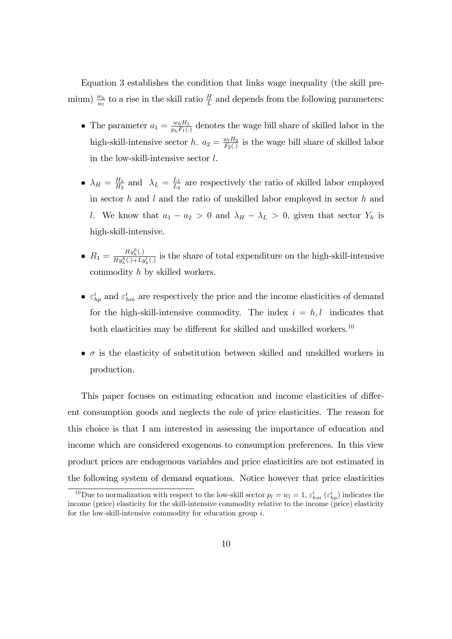Equation 3 establishes the condition that links wage inequality (the skill premium)  $\frac{w_h}{w_l}$  to a rise in the skill ratio  $\frac{H}{L}$  and depends from the following parameters:

- The parameter  $a_1 = \frac{w_h H_1}{p_h F_1(}$ .  $\frac{w_h H_1}{p_h F_1(.)}$  denotes the wage bill share of skilled labor in the high-skill-intensive sector h.  $a_2 = \frac{w_l H_2}{F_2(r)}$  $\frac{w_l H_2}{F_2(.)}$  is the wage bill share of skilled labor in the low-skill-intensive sector l.
- $\bullet$   $\lambda_H = \frac{H_1}{H_2}$  $\frac{H_1}{H_2}$  and  $\lambda_L = \frac{L_1}{L_2}$  $\frac{L_1}{L_2}$  are respectively the ratio of skilled labor employed in sector  $h$  and  $l$  and the ratio of unskilled labor employed in sector  $h$  and l. We know that  $a_1 - a_2 > 0$  and  $\lambda_H - \lambda_L > 0$ , given that sector  $Y_h$  is high-skill-intensive.
- $R_1 = \frac{Hy_h^h(.)}{Hy_h^h(.) + L_2}$  $\frac{H_{y_h}(\cdot)}{H_{y_h}^h(\cdot)+L_{y_h}^l(\cdot)}$  is the share of total expenditure on the high-skill-intensive commodity h by skilled workers.
- $\varepsilon_{hp}^i$  and  $\varepsilon_{hm}^i$  are respectively the price and the income elasticities of demand for the high-skill-intensive commodity. The index  $i = h, l$  indicates that both elasticities may be different for skilled and unskilled workers.<sup>10</sup>
- $\bullet$   $\sigma$  is the elasticity of substitution between skilled and unskilled workers in production.

This paper focuses on estimating education and income elasticities of different consumption goods and neglects the role of price elasticities. The reason for this choice is that I am interested in assessing the importance of education and income which are considered exogenous to consumption preferences. In this view product prices are endogenous variables and price elasticities are not estimated in the following system of demand equations. Notice however that price elasticities

<sup>&</sup>lt;sup>10</sup>Due to normalization with respect to the low-skill sector  $p_l = w_l = 1$ ,  $\varepsilon_{hm}^i$   $(\varepsilon_{hp}^i)$  indicates the income (price) elasticity for the skill-intensive commodity relative to the income (price) elasticity for the low-skill-intensive commodity for education group  $i$ .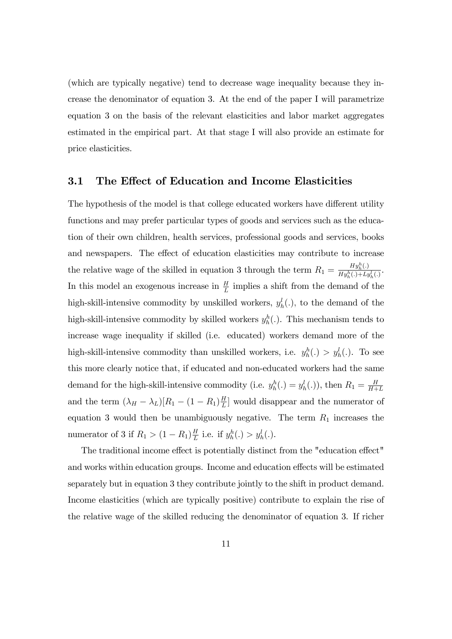(which are typically negative) tend to decrease wage inequality because they increase the denominator of equation 3. At the end of the paper I will parametrize equation 3 on the basis of the relevant elasticities and labor market aggregates estimated in the empirical part. At that stage I will also provide an estimate for price elasticities.

#### 3.1 The Effect of Education and Income Elasticities

The hypothesis of the model is that college educated workers have different utility functions and may prefer particular types of goods and services such as the education of their own children, health services, professional goods and services, books and newspapers. The effect of education elasticities may contribute to increase the relative wage of the skilled in equation 3 through the term  $R_1 = \frac{H y_h^h(.)}{H y_h^h(.)+L^d}$  $\frac{Hy_{h}^{h}(\cdot)}{Hy_{h}^{h}(\cdot)+Ly_{h}^{l}(\cdot)}$ In this model an exogenous increase in  $\frac{H}{L}$  implies a shift from the demand of the high-skill-intensive commodity by unskilled workers,  $y_h^l(.)$ , to the demand of the high-skill-intensive commodity by skilled workers  $y_h^h(.)$ . This mechanism tends to increase wage inequality if skilled (i.e. educated) workers demand more of the high-skill-intensive commodity than unskilled workers, i.e.  $y_h^h(.) > y_h^l(.)$ . To see this more clearly notice that, if educated and non-educated workers had the same demand for the high-skill-intensive commodity (i.e.  $y_h^h(.) = y_h^l(.)$ ), then  $R_1 = \frac{H}{H+1}$  $H+L$ and the term  $(\lambda_H - \lambda_L)[R_1 - (1 - R_1)\frac{H}{L}]$  $\frac{H}{L}$  would disappear and the numerator of equation 3 would then be unambiguously negative. The term  $R_1$  increases the numerator of 3 if  $R_1 > (1 - R_1) \frac{H}{L}$  $\frac{H}{L}$  i.e. if  $y_h^h(.) > y_h^l(.)$ .

The traditional income effect is potentially distinct from the "education effect" and works within education groups. Income and education effects will be estimated separately but in equation 3 they contribute jointly to the shift in product demand. Income elasticities (which are typically positive) contribute to explain the rise of the relative wage of the skilled reducing the denominator of equation 3. If richer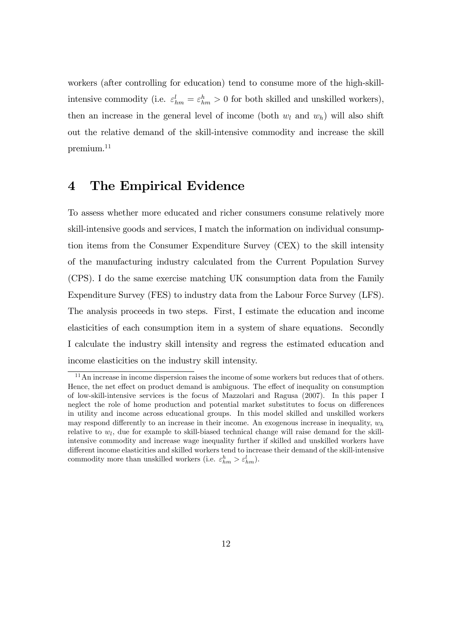workers (after controlling for education) tend to consume more of the high-skillintensive commodity (i.e.  $\varepsilon_{hm}^l = \varepsilon_{hm}^h > 0$  for both skilled and unskilled workers), then an increase in the general level of income (both  $w_l$  and  $w_h$ ) will also shift out the relative demand of the skill-intensive commodity and increase the skill premium.<sup>11</sup>

# 4 The Empirical Evidence

To assess whether more educated and richer consumers consume relatively more skill-intensive goods and services, I match the information on individual consumption items from the Consumer Expenditure Survey (CEX) to the skill intensity of the manufacturing industry calculated from the Current Population Survey (CPS). I do the same exercise matching UK consumption data from the Family Expenditure Survey (FES) to industry data from the Labour Force Survey (LFS). The analysis proceeds in two steps. First, I estimate the education and income elasticities of each consumption item in a system of share equations. Secondly I calculate the industry skill intensity and regress the estimated education and income elasticities on the industry skill intensity.

<sup>&</sup>lt;sup>11</sup>An increase in income dispersion raises the income of some workers but reduces that of others. Hence, the net effect on product demand is ambiguous. The effect of inequality on consumption of low-skill-intensive services is the focus of Mazzolari and Ragusa (2007). In this paper I neglect the role of home production and potential market substitutes to focus on differences in utility and income across educational groups. In this model skilled and unskilled workers may respond differently to an increase in their income. An exogenous increase in inequality,  $w_h$ relative to  $w_l$ , due for example to skill-biased technical change will raise demand for the skillintensive commodity and increase wage inequality further if skilled and unskilled workers have different income elasticities and skilled workers tend to increase their demand of the skill-intensive commodity more than unskilled workers (i.e.  $\varepsilon_{hm}^h > \varepsilon_{hm}^l$ ).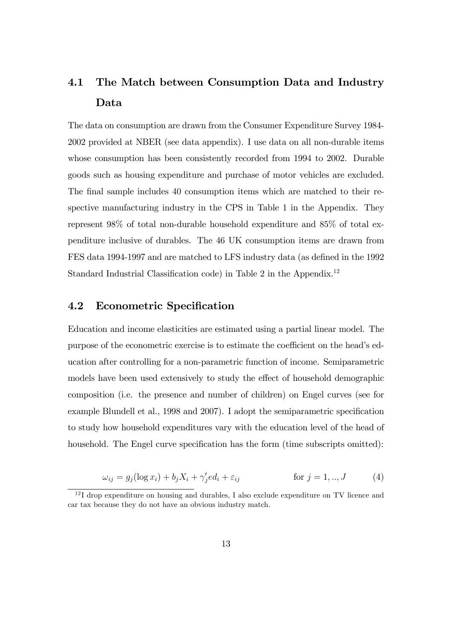# 4.1 The Match between Consumption Data and Industry Data

The data on consumption are drawn from the Consumer Expenditure Survey 1984- 2002 provided at NBER (see data appendix). I use data on all non-durable items whose consumption has been consistently recorded from 1994 to 2002. Durable goods such as housing expenditure and purchase of motor vehicles are excluded. The final sample includes 40 consumption items which are matched to their respective manufacturing industry in the CPS in Table 1 in the Appendix. They represent 98% of total non-durable household expenditure and 85% of total expenditure inclusive of durables. The 46 UK consumption items are drawn from FES data 1994-1997 and are matched to LFS industry data (as defined in the 1992) Standard Industrial Classification code) in Table 2 in the Appendix.<sup>12</sup>

#### 4.2 Econometric Specification

Education and income elasticities are estimated using a partial linear model. The purpose of the econometric exercise is to estimate the coefficient on the head's education after controlling for a non-parametric function of income. Semiparametric models have been used extensively to study the effect of household demographic composition (i.e. the presence and number of children) on Engel curves (see for example Blundell et al., 1998 and 2007). I adopt the semiparametric specification to study how household expenditures vary with the education level of the head of household. The Engel curve specification has the form (time subscripts omitted):

$$
\omega_{ij} = g_j(\log x_i) + b_j X_i + \gamma'_j e d_i + \varepsilon_{ij} \qquad \text{for } j = 1,..,J \qquad (4)
$$

 $12$ I drop expenditure on housing and durables, I also exclude expenditure on TV licence and car tax because they do not have an obvious industry match.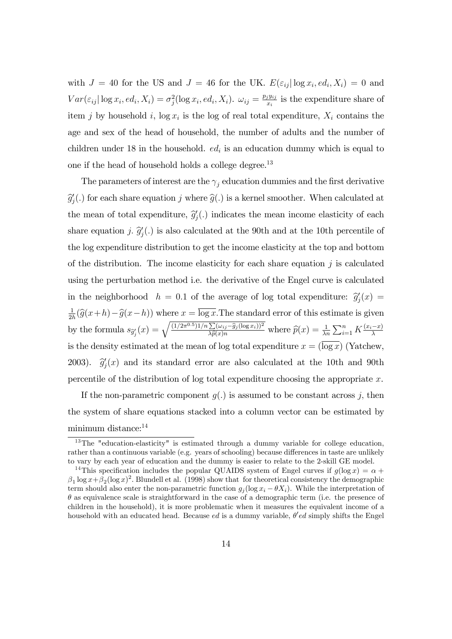with  $J = 40$  for the US and  $J = 46$  for the UK.  $E(\varepsilon_{ij} | \log x_i, ed_i, X_i) = 0$  and  $Var(\varepsilon_{ij}|\log x_i, ed_i, X_i) = \sigma_j^2(\log x_i, ed_i, X_i)$ .  $\omega_{ij} = \frac{p_jy_{ij}}{x_i}$  $\frac{i}{x_i}$  is the expenditure share of item j by household i,  $\log x_i$  is the log of real total expenditure,  $X_i$  contains the age and sex of the head of household, the number of adults and the number of children under 18 in the household.  $ed_i$  is an education dummy which is equal to one if the head of household holds a college degree.<sup>13</sup>

The parameters of interest are the  $\gamma_j$  education dummies and the first derivative  $\widehat{g}'_j(.)$  for each share equation j where  $\widehat{g}(.)$  is a kernel smoother. When calculated at the mean of total expenditure,  $\hat{g}'_j(.)$  indicates the mean income elasticity of each share equation *j.*  $\hat{g}'_j(.)$  is also calculated at the 90th and at the 10th percentile of the log expenditure distribution to get the income elasticity at the top and bottom of the distribution. The income elasticity for each share equation  $j$  is calculated using the perturbation method i.e. the derivative of the Engel curve is calculated in the neighborhood  $h = 0.1$  of the average of log total expenditure:  $\hat{g}_j'(x) =$ 1  $\frac{1}{2h}(\widehat{g}(x+h)-\widehat{g}(x-h))$  where  $x = \log x$ . The standard error of this estimate is given by the formula  $s_{\hat{g}_j'}(x) = \sqrt{\frac{(1/2\pi^{0.5})1/n \sum (\omega_{ij}-\hat{g}_j(\log x_i))^2}{\lambda \hat{p}(x)n}}$  where  $\hat{p}(x) = \frac{1}{\lambda n} \sum_{i=1}^n K \frac{(x_i-x)}{\lambda}$ is the density estimated at the mean of log total expenditure  $x = (\overline{\log x})$  (Yatchew, 2003).  $\hat{g}_j(x)$  and its standard error are also calculated at the 10th and 90th percentile of the distribution of log total expenditure choosing the appropriate  $x$ .

If the non-parametric component  $q(.)$  is assumed to be constant across j, then the system of share equations stacked into a column vector can be estimated by minimum distance:<sup>14</sup>

<sup>&</sup>lt;sup>13</sup>The "education-elasticity" is estimated through a dummy variable for college education, rather than a continuous variable (e.g. years of schooling) because differences in taste are unlikely to vary by each year of education and the dummy is easier to relate to the 2-skill GE model.

<sup>&</sup>lt;sup>14</sup>This specification includes the popular QUAIDS system of Engel curves if  $g(\log x) = \alpha +$  $\beta_1 \log x + \beta_2 (\log x)^2$ . Blundell et al. (1998) show that for theoretical consistency the demographic term should also enter the non-parametric function  $g_i(\log x_i - \theta X_i)$ . While the interpretation of  $\theta$  as equivalence scale is straightforward in the case of a demographic term (i.e. the presence of children in the household), it is more problematic when it measures the equivalent income of a household with an educated head. Because *ed* is a dummy variable,  $\theta'$ ed simply shifts the Engel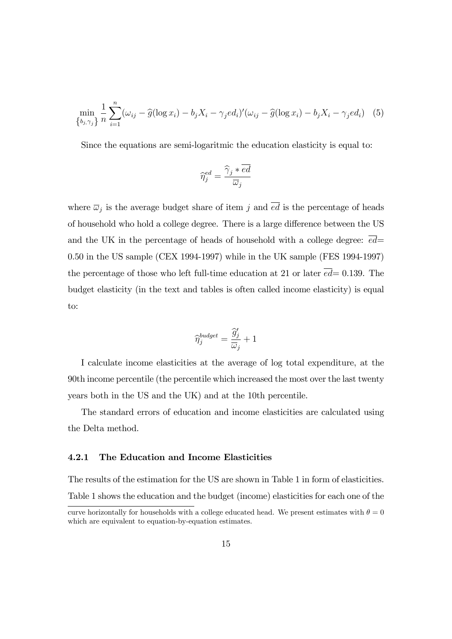$$
\min_{\{b_j, \gamma_j\}} \frac{1}{n} \sum_{i=1}^n (\omega_{ij} - \widehat{g}(\log x_i) - b_j X_i - \gamma_j e d_i)'(\omega_{ij} - \widehat{g}(\log x_i) - b_j X_i - \gamma_j e d_i) \tag{5}
$$

Since the equations are semi-logaritmic the education elasticity is equal to:

$$
\widehat{\eta}_j^{ed} = \frac{\widehat{\gamma}_j * \overline{ed}}{\overline{\omega}_j}
$$

where  $\overline{\omega}_j$  is the average budget share of item j and ed is the percentage of heads of household who hold a college degree. There is a large difference between the US and the UK in the percentage of heads of household with a college degree:  $\overline{ed}$ = 0.50 in the US sample (CEX 1994-1997) while in the UK sample (FES 1994-1997) the percentage of those who left full-time education at 21 or later  $\overline{ed}=0.139$ . The budget elasticity (in the text and tables is often called income elasticity) is equal to:

$$
\widehat{\eta}_j^{budget} = \frac{\widehat{g}_j'}{\overline{\omega}_j} + 1
$$

I calculate income elasticities at the average of log total expenditure, at the 90th income percentile (the percentile which increased the most over the last twenty years both in the US and the UK) and at the 10th percentile.

The standard errors of education and income elasticities are calculated using the Delta method.

#### 4.2.1 The Education and Income Elasticities

The results of the estimation for the US are shown in Table 1 in form of elasticities. Table 1 shows the education and the budget (income) elasticities for each one of the

curve horizontally for households with a college educated head. We present estimates with  $\theta = 0$ which are equivalent to equation-by-equation estimates.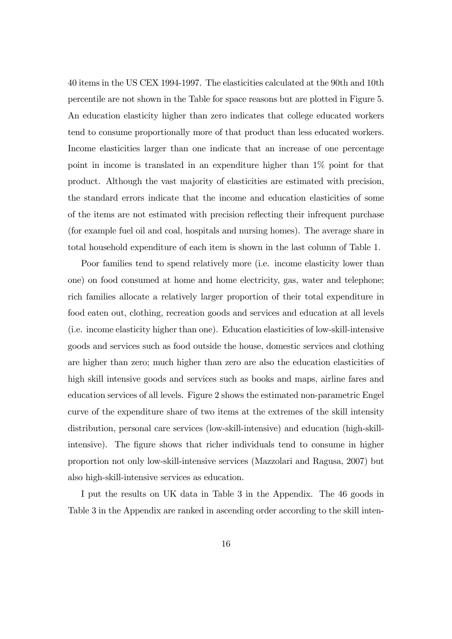40 items in the US CEX 1994-1997. The elasticities calculated at the 90th and 10th percentile are not shown in the Table for space reasons but are plotted in Figure 5. An education elasticity higher than zero indicates that college educated workers tend to consume proportionally more of that product than less educated workers. Income elasticities larger than one indicate that an increase of one percentage point in income is translated in an expenditure higher than 1% point for that product. Although the vast majority of elasticities are estimated with precision, the standard errors indicate that the income and education elasticities of some of the items are not estimated with precision reflecting their infrequent purchase (for example fuel oil and coal, hospitals and nursing homes). The average share in total household expenditure of each item is shown in the last column of Table 1.

Poor families tend to spend relatively more (i.e. income elasticity lower than one) on food consumed at home and home electricity, gas, water and telephone; rich families allocate a relatively larger proportion of their total expenditure in food eaten out, clothing, recreation goods and services and education at all levels (i.e. income elasticity higher than one). Education elasticities of low-skill-intensive goods and services such as food outside the house, domestic services and clothing are higher than zero; much higher than zero are also the education elasticities of high skill intensive goods and services such as books and maps, airline fares and education services of all levels. Figure 2 shows the estimated non-parametric Engel curve of the expenditure share of two items at the extremes of the skill intensity distribution, personal care services (low-skill-intensive) and education (high-skillintensive). The figure shows that richer individuals tend to consume in higher proportion not only low-skill-intensive services (Mazzolari and Ragusa, 2007) but also high-skill-intensive services as education.

I put the results on UK data in Table 3 in the Appendix. The 46 goods in Table 3 in the Appendix are ranked in ascending order according to the skill inten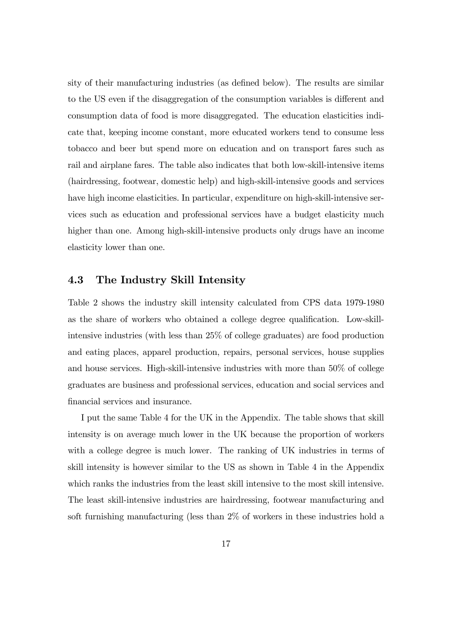sity of their manufacturing industries (as defined below). The results are similar to the US even if the disaggregation of the consumption variables is different and consumption data of food is more disaggregated. The education elasticities indicate that, keeping income constant, more educated workers tend to consume less tobacco and beer but spend more on education and on transport fares such as rail and airplane fares. The table also indicates that both low-skill-intensive items (hairdressing, footwear, domestic help) and high-skill-intensive goods and services have high income elasticities. In particular, expenditure on high-skill-intensive services such as education and professional services have a budget elasticity much higher than one. Among high-skill-intensive products only drugs have an income elasticity lower than one.

#### 4.3 The Industry Skill Intensity

Table 2 shows the industry skill intensity calculated from CPS data 1979-1980 as the share of workers who obtained a college degree qualification. Low-skillintensive industries (with less than 25% of college graduates) are food production and eating places, apparel production, repairs, personal services, house supplies and house services. High-skill-intensive industries with more than 50% of college graduates are business and professional services, education and social services and financial services and insurance.

I put the same Table 4 for the UK in the Appendix. The table shows that skill intensity is on average much lower in the UK because the proportion of workers with a college degree is much lower. The ranking of UK industries in terms of skill intensity is however similar to the US as shown in Table 4 in the Appendix which ranks the industries from the least skill intensive to the most skill intensive. The least skill-intensive industries are hairdressing, footwear manufacturing and soft furnishing manufacturing (less than 2% of workers in these industries hold a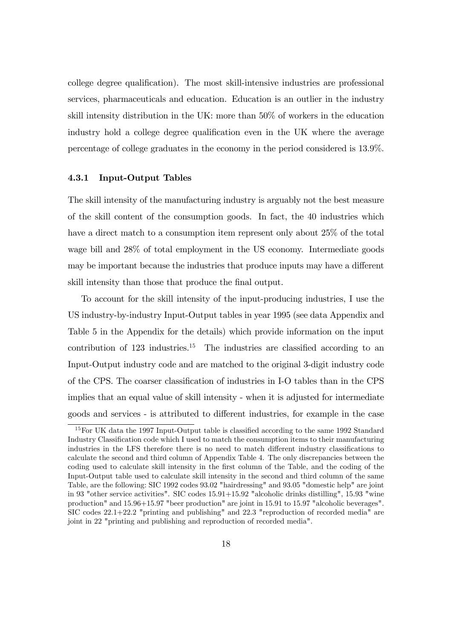college degree qualification). The most skill-intensive industries are professional services, pharmaceuticals and education. Education is an outlier in the industry skill intensity distribution in the UK: more than 50% of workers in the education industry hold a college degree qualification even in the UK where the average percentage of college graduates in the economy in the period considered is 13.9%.

#### 4.3.1 Input-Output Tables

The skill intensity of the manufacturing industry is arguably not the best measure of the skill content of the consumption goods. In fact, the 40 industries which have a direct match to a consumption item represent only about 25\% of the total wage bill and 28% of total employment in the US economy. Intermediate goods may be important because the industries that produce inputs may have a different skill intensity than those that produce the final output.

To account for the skill intensity of the input-producing industries, I use the US industry-by-industry Input-Output tables in year 1995 (see data Appendix and Table 5 in the Appendix for the details) which provide information on the input contribution of  $123$  industries.<sup>15</sup> The industries are classified according to an Input-Output industry code and are matched to the original 3-digit industry code of the CPS. The coarser classification of industries in I-O tables than in the CPS implies that an equal value of skill intensity - when it is adjusted for intermediate goods and services - is attributed to different industries, for example in the case

 $15$  For UK data the 1997 Input-Output table is classified according to the same 1992 Standard Industry Classification code which I used to match the consumption items to their manufacturing industries in the LFS therefore there is no need to match different industry classifications to calculate the second and third column of Appendix Table 4. The only discrepancies between the coding used to calculate skill intensity in the first column of the Table, and the coding of the Input-Output table used to calculate skill intensity in the second and third column of the same Table, are the following: SIC 1992 codes 93.02 "hairdressing" and 93.05 "domestic help" are joint in 93 "other service activities". SIC codes 15.91+15.92 "alcoholic drinks distilling", 15.93 "wine production" and 15.96+15.97 "beer production" are joint in 15.91 to 15.97 "alcoholic beverages". SIC codes 22.1+22.2 "printing and publishing" and 22.3 "reproduction of recorded media" are joint in 22 "printing and publishing and reproduction of recorded media".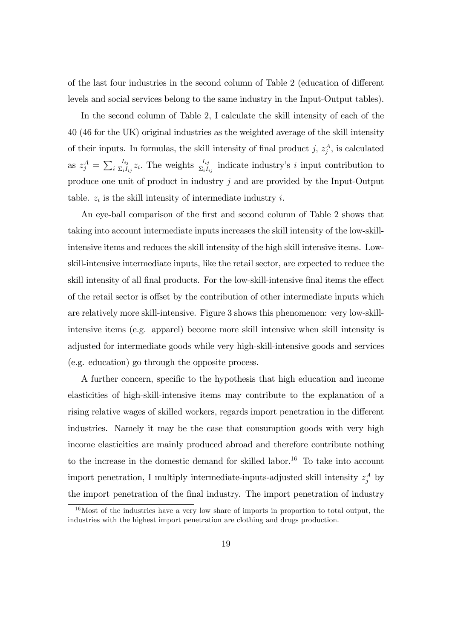of the last four industries in the second column of Table 2 (education of different levels and social services belong to the same industry in the Input-Output tables).

In the second column of Table 2, I calculate the skill intensity of each of the 40 (46 for the UK) original industries as the weighted average of the skill intensity of their inputs. In formulas, the skill intensity of final product j,  $z_j^A$ , is calculated as  $z_j^A = \sum_i$  $I_{ij}$  $\frac{I_{ij}}{\Sigma_i I_{ij}} z_i$ . The weights  $\frac{I_{ij}}{\Sigma_i I_{ij}}$  indicate industry's i input contribution to produce one unit of product in industry j and are provided by the Input-Output table.  $z_i$  is the skill intensity of intermediate industry i.

An eye-ball comparison of the first and second column of Table 2 shows that taking into account intermediate inputs increases the skill intensity of the low-skillintensive items and reduces the skill intensity of the high skill intensive items. Lowskill-intensive intermediate inputs, like the retail sector, are expected to reduce the skill intensity of all final products. For the low-skill-intensive final items the effect of the retail sector is offset by the contribution of other intermediate inputs which are relatively more skill-intensive. Figure 3 shows this phenomenon: very low-skillintensive items (e.g. apparel) become more skill intensive when skill intensity is adjusted for intermediate goods while very high-skill-intensive goods and services (e.g. education) go through the opposite process.

A further concern, specific to the hypothesis that high education and income elasticities of high-skill-intensive items may contribute to the explanation of a rising relative wages of skilled workers, regards import penetration in the different industries. Namely it may be the case that consumption goods with very high income elasticities are mainly produced abroad and therefore contribute nothing to the increase in the domestic demand for skilled labor.<sup>16</sup> To take into account import penetration, I multiply intermediate-inputs-adjusted skill intensity  $z_j^A$  by the import penetration of the final industry. The import penetration of industry

 $16$ Most of the industries have a very low share of imports in proportion to total output, the industries with the highest import penetration are clothing and drugs production.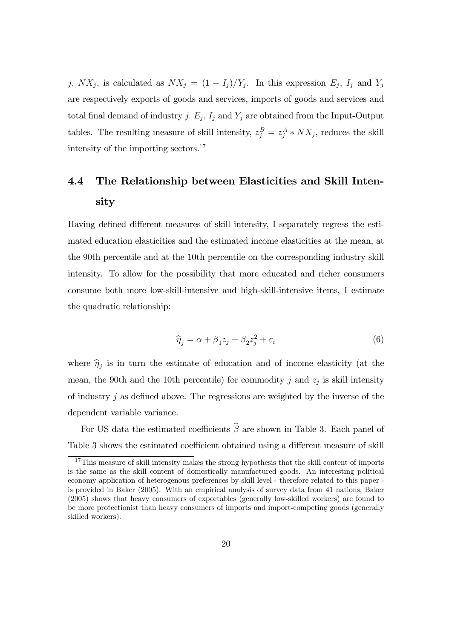j,  $NX_j$ , is calculated as  $NX_j = (1 - I_j)/Y_j$ . In this expression  $E_j$ ,  $I_j$  and  $Y_j$ are respectively exports of goods and services, imports of goods and services and total final demand of industry j.  $E_j$ ,  $I_j$  and  $Y_j$  are obtained from the Input-Output tables. The resulting measure of skill intensity,  $z_j^B = z_j^A * N X_j$ , reduces the skill intensity of the importing sectors.<sup>17</sup>

# 4.4 The Relationship between Elasticities and Skill Intensity

Having defined different measures of skill intensity, I separately regress the estimated education elasticities and the estimated income elasticities at the mean, at the 90th percentile and at the 10th percentile on the corresponding industry skill intensity. To allow for the possibility that more educated and richer consumers consume both more low-skill-intensive and high-skill-intensive items, I estimate the quadratic relationship:

$$
\widehat{\eta}_j = \alpha + \beta_1 z_j + \beta_2 z_j^2 + \varepsilon_i \tag{6}
$$

where  $\hat{\eta}_j$  is in turn the estimate of education and of income elasticity (at the mean, the 90th and the 10th percentile) for commodity  $j$  and  $z_j$  is skill intensity of industry  $j$  as defined above. The regressions are weighted by the inverse of the dependent variable variance.

For US data the estimated coefficients  $\widehat{\beta}$  are shown in Table 3. Each panel of Table 3 shows the estimated coefficient obtained using a different measure of skill

 $17$ This measure of skill intensity makes the strong hypothesis that the skill content of imports is the same as the skill content of domestically manufactured goods. An interesting political economy application of heterogenous preferences by skill level - therefore related to this paper is provided in Baker (2005). With an empirical analysis of survey data from 41 nations, Baker (2005) shows that heavy consumers of exportables (generally low-skilled workers) are found to be more protectionist than heavy consumers of imports and import-competing goods (generally skilled workers).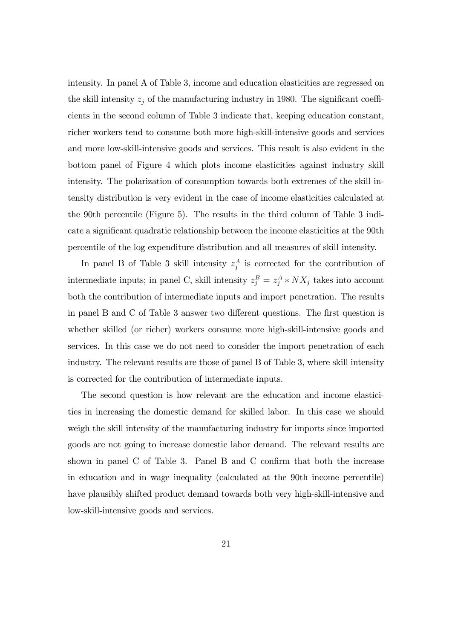intensity. In panel A of Table 3, income and education elasticities are regressed on the skill intensity  $z_j$  of the manufacturing industry in 1980. The significant coefficients in the second column of Table 3 indicate that, keeping education constant, richer workers tend to consume both more high-skill-intensive goods and services and more low-skill-intensive goods and services. This result is also evident in the bottom panel of Figure 4 which plots income elasticities against industry skill intensity. The polarization of consumption towards both extremes of the skill intensity distribution is very evident in the case of income elasticities calculated at the 90th percentile (Figure 5). The results in the third column of Table 3 indicate a significant quadratic relationship between the income elasticities at the 90th percentile of the log expenditure distribution and all measures of skill intensity.

In panel B of Table 3 skill intensity  $z_j^A$  is corrected for the contribution of intermediate inputs; in panel C, skill intensity  $z_j^B = z_j^A * N X_j$  takes into account both the contribution of intermediate inputs and import penetration. The results in panel B and C of Table 3 answer two different questions. The first question is whether skilled (or richer) workers consume more high-skill-intensive goods and services. In this case we do not need to consider the import penetration of each industry. The relevant results are those of panel B of Table 3, where skill intensity is corrected for the contribution of intermediate inputs.

The second question is how relevant are the education and income elasticities in increasing the domestic demand for skilled labor. In this case we should weigh the skill intensity of the manufacturing industry for imports since imported goods are not going to increase domestic labor demand. The relevant results are shown in panel C of Table 3. Panel B and C confirm that both the increase in education and in wage inequality (calculated at the 90th income percentile) have plausibly shifted product demand towards both very high-skill-intensive and low-skill-intensive goods and services.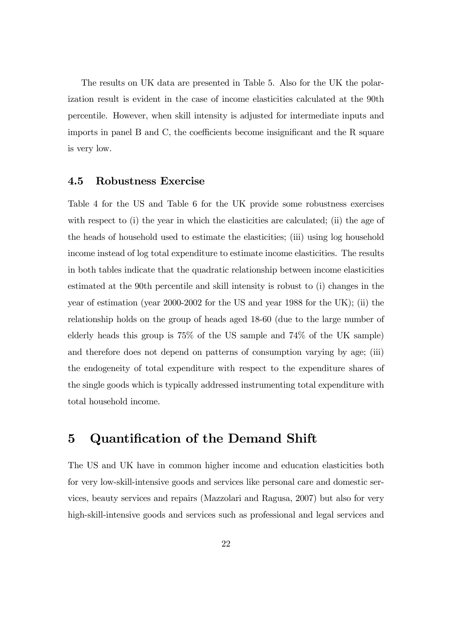The results on UK data are presented in Table 5. Also for the UK the polarization result is evident in the case of income elasticities calculated at the 90th percentile. However, when skill intensity is adjusted for intermediate inputs and imports in panel B and C, the coefficients become insignificant and the R square is very low.

#### 4.5 Robustness Exercise

Table 4 for the US and Table 6 for the UK provide some robustness exercises with respect to (i) the year in which the elasticities are calculated; (ii) the age of the heads of household used to estimate the elasticities; (iii) using log household income instead of log total expenditure to estimate income elasticities. The results in both tables indicate that the quadratic relationship between income elasticities estimated at the 90th percentile and skill intensity is robust to (i) changes in the year of estimation (year 2000-2002 for the US and year 1988 for the UK); (ii) the relationship holds on the group of heads aged 18-60 (due to the large number of elderly heads this group is 75% of the US sample and 74% of the UK sample) and therefore does not depend on patterns of consumption varying by age; (iii) the endogeneity of total expenditure with respect to the expenditure shares of the single goods which is typically addressed instrumenting total expenditure with total household income.

# 5 Quantification of the Demand Shift

The US and UK have in common higher income and education elasticities both for very low-skill-intensive goods and services like personal care and domestic services, beauty services and repairs (Mazzolari and Ragusa, 2007) but also for very high-skill-intensive goods and services such as professional and legal services and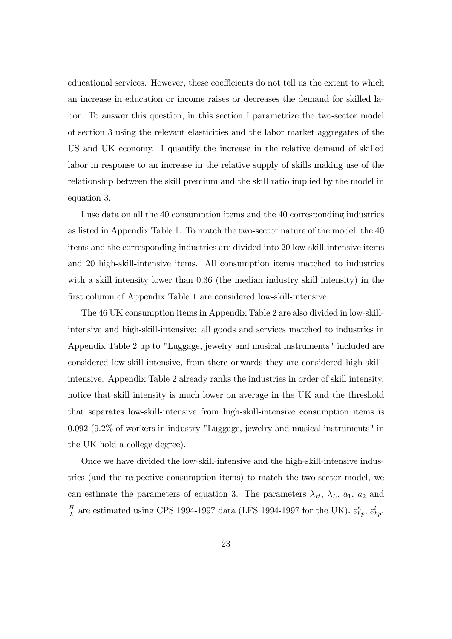educational services. However, these coefficients do not tell us the extent to which an increase in education or income raises or decreases the demand for skilled labor. To answer this question, in this section I parametrize the two-sector model of section 3 using the relevant elasticities and the labor market aggregates of the US and UK economy. I quantify the increase in the relative demand of skilled labor in response to an increase in the relative supply of skills making use of the relationship between the skill premium and the skill ratio implied by the model in equation 3.

I use data on all the 40 consumption items and the 40 corresponding industries as listed in Appendix Table 1. To match the two-sector nature of the model, the 40 items and the corresponding industries are divided into 20 low-skill-intensive items and 20 high-skill-intensive items. All consumption items matched to industries with a skill intensity lower than 0.36 (the median industry skill intensity) in the first column of Appendix Table 1 are considered low-skill-intensive.

The 46 UK consumption items in Appendix Table 2 are also divided in low-skillintensive and high-skill-intensive: all goods and services matched to industries in Appendix Table 2 up to "Luggage, jewelry and musical instruments" included are considered low-skill-intensive, from there onwards they are considered high-skillintensive. Appendix Table 2 already ranks the industries in order of skill intensity, notice that skill intensity is much lower on average in the UK and the threshold that separates low-skill-intensive from high-skill-intensive consumption items is 0.092 (9.2% of workers in industry "Luggage, jewelry and musical instruments" in the UK hold a college degree).

Once we have divided the low-skill-intensive and the high-skill-intensive industries (and the respective consumption items) to match the two-sector model, we can estimate the parameters of equation 3. The parameters  $\lambda_H$ ,  $\lambda_L$ ,  $a_1$ ,  $a_2$  and H  $\frac{H}{L}$  are estimated using CPS 1994-1997 data (LFS 1994-1997 for the UK).  $\varepsilon_{hp}^h$ ,  $\varepsilon_{hp}^l$ ,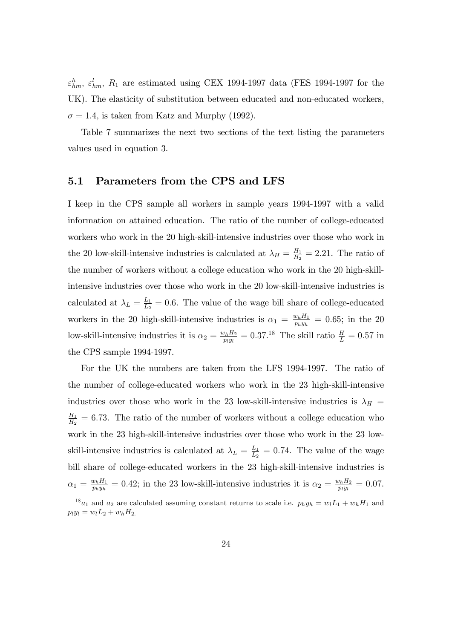$\varepsilon_{hm}^h$ ,  $\varepsilon_{hm}^l$ ,  $R_1$  are estimated using CEX 1994-1997 data (FES 1994-1997 for the UK). The elasticity of substitution between educated and non-educated workers,  $\sigma = 1.4$ , is taken from Katz and Murphy (1992).

Table 7 summarizes the next two sections of the text listing the parameters values used in equation 3.

#### 5.1 Parameters from the CPS and LFS

I keep in the CPS sample all workers in sample years 1994-1997 with a valid information on attained education. The ratio of the number of college-educated workers who work in the 20 high-skill-intensive industries over those who work in the 20 low-skill-intensive industries is calculated at  $\lambda_H = \frac{H_1}{H_2}$  $\frac{H_1}{H_2}$  = 2.21. The ratio of the number of workers without a college education who work in the 20 high-skillintensive industries over those who work in the 20 low-skill-intensive industries is calculated at  $\lambda_L = \frac{L_1}{L_2}$  $\frac{L_1}{L_2}$  = 0.6. The value of the wage bill share of college-educated workers in the 20 high-skill-intensive industries is  $\alpha_1 = \frac{w_h H_1}{n_1 w_h}$  $\frac{w_h H_1}{p_h y_h} = 0.65$ ; in the 20 low-skill-intensive industries it is  $\alpha_2 = \frac{w_h H_2}{w_h w_h}$  $\frac{v_h H_2}{p_l y_l} = 0.37.^{18}$  The skill ratio  $\frac{H}{L} = 0.57$  in the CPS sample 1994-1997.

For the UK the numbers are taken from the LFS 1994-1997. The ratio of the number of college-educated workers who work in the 23 high-skill-intensive industries over those who work in the 23 low-skill-intensive industries is  $\lambda_H$  =  $H_1$  $\frac{H_1}{H_2}$  = 6.73. The ratio of the number of workers without a college education who work in the 23 high-skill-intensive industries over those who work in the 23 lowskill-intensive industries is calculated at  $\lambda_L = \frac{L_1}{L_2}$  $\frac{L_1}{L_2} = 0.74$ . The value of the wage bill share of college-educated workers in the 23 high-skill-intensive industries is  $\alpha_1 = \frac{w_h H_1}{n_h w_h}$  $\frac{w_h H_1}{p_h y_h} = 0.42$ ; in the 23 low-skill-intensive industries it is  $\alpha_2 = \frac{w_h H_2}{p_l y_l}$  $\frac{v_h H_2}{p_l y_l} = 0.07.$ 

<sup>&</sup>lt;sup>18</sup>a<sub>1</sub> and a<sub>2</sub> are calculated assuming constant returns to scale i.e.  $p_h y_h = w_l L_1 + w_h H_1$  and  $p_l y_l = w_l L_2 + w_h H_2$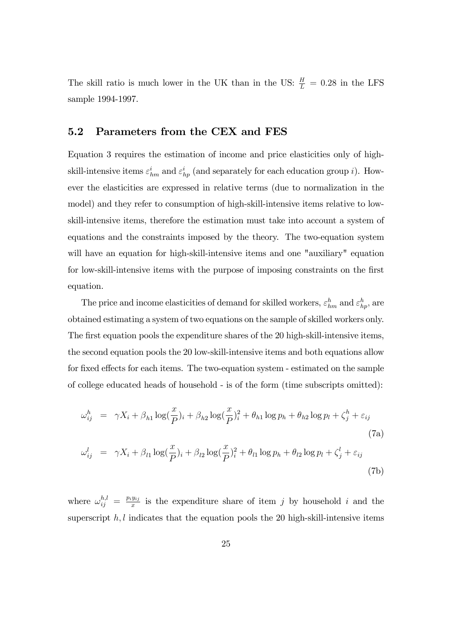The skill ratio is much lower in the UK than in the US:  $\frac{H}{L} = 0.28$  in the LFS sample 1994-1997.

#### 5.2 Parameters from the CEX and FES

Equation 3 requires the estimation of income and price elasticities only of highskill-intensive items  $\varepsilon_{hm}^i$  and  $\varepsilon_{hp}^i$  (and separately for each education group *i*). However the elasticities are expressed in relative terms (due to normalization in the model) and they refer to consumption of high-skill-intensive items relative to lowskill-intensive items, therefore the estimation must take into account a system of equations and the constraints imposed by the theory. The two-equation system will have an equation for high-skill-intensive items and one "auxiliary" equation for low-skill-intensive items with the purpose of imposing constraints on the first equation.

The price and income elasticities of demand for skilled workers,  $\varepsilon_{hm}^h$  and  $\varepsilon_{hp}^h$ , are obtained estimating a system of two equations on the sample of skilled workers only. The first equation pools the expenditure shares of the 20 high-skill-intensive items, the second equation pools the 20 low-skill-intensive items and both equations allow for fixed effects for each items. The two-equation system - estimated on the sample of college educated heads of household - is of the form (time subscripts omitted):

$$
\omega_{ij}^h = \gamma X_i + \beta_{h1} \log(\frac{x}{P})_i + \beta_{h2} \log(\frac{x}{P})_i^2 + \theta_{h1} \log p_h + \theta_{h2} \log p_l + \zeta_j^h + \varepsilon_{ij}
$$
\n(7a)

$$
\omega_{ij}^l = \gamma X_i + \beta_{l1} \log(\frac{x}{P})_i + \beta_{l2} \log(\frac{x}{P})_i^2 + \theta_{l1} \log p_h + \theta_{l2} \log p_l + \zeta_j^l + \varepsilon_{ij}
$$
\n(7b)

where  $\omega_{ij}^{h,l} = \frac{p_i y_{ij}}{x}$  $\frac{y_{ij}}{x}$  is the expenditure share of item j by household i and the superscript  $h, l$  indicates that the equation pools the 20 high-skill-intensive items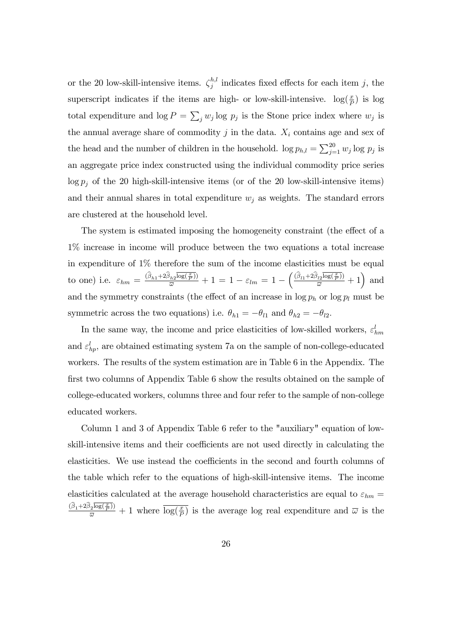or the 20 low-skill-intensive items.  $\zeta_i^{h,l}$  $j_j^{n,i}$  indicates fixed effects for each item j, the superscript indicates if the items are high- or low-skill-intensive.  $log(\frac{x}{P})$  is log total expenditure and  $\log P = \sum_j w_j \log p_j$  is the Stone price index where  $w_j$  is the annual average share of commodity  $j$  in the data.  $X_i$  contains age and sex of the head and the number of children in the household.  $\log p_{h,l} = \sum_{j=1}^{20} w_j \log p_j$  is an aggregate price index constructed using the individual commodity price series  $\log p_i$  of the 20 high-skill-intensive items (or of the 20 low-skill-intensive items) and their annual shares in total expenditure  $w_j$  as weights. The standard errors are clustered at the household level.

The system is estimated imposing the homogeneity constraint (the effect of a 1% increase in income will produce between the two equations a total increase in expenditure of 1% therefore the sum of the income elasticities must be equal to one) i.e.  $\varepsilon_{hm} = \frac{(\hat{\beta}_{h1} + 2\hat{\beta}_{h2}\overline{\log(\frac{x}{P})})}{\overline{\omega}} + 1 = 1 - \varepsilon_{lm} = 1 - \left(\frac{(\hat{\beta}_{l1} + 2\hat{\beta}_{l2}\overline{\log(\frac{x}{P})})}{\overline{\omega}} + 1\right)$  and and the symmetry constraints (the effect of an increase in  $\log p_h$  or  $\log p_l$  must be symmetric across the two equations) i.e.  $\theta_{h1} = -\theta_{l1}$  and  $\theta_{h2} = -\theta_{l2}$ .

In the same way, the income and price elasticities of low-skilled workers,  $\varepsilon_{hm}^l$ and  $\varepsilon_{hp}^l$ , are obtained estimating system 7a on the sample of non-college-educated workers. The results of the system estimation are in Table 6 in the Appendix. The first two columns of Appendix Table 6 show the results obtained on the sample of college-educated workers, columns three and four refer to the sample of non-college educated workers.

Column 1 and 3 of Appendix Table 6 refer to the "auxiliary" equation of lowskill-intensive items and their coefficients are not used directly in calculating the elasticities. We use instead the coefficients in the second and fourth columns of the table which refer to the equations of high-skill-intensive items. The income elasticities calculated at the average household characteristics are equal to  $\varepsilon_{hm}$  =  $\frac{(\widehat{\beta}_1+2\widehat{\beta}_2\overline{\log(\frac{x}{\widehat{P}})})}{\overline{\omega}}+1$  where  $\overline{\log(\frac{x}{\widehat{P}})}$  is the average log real expenditure and  $\overline{\omega}$  is the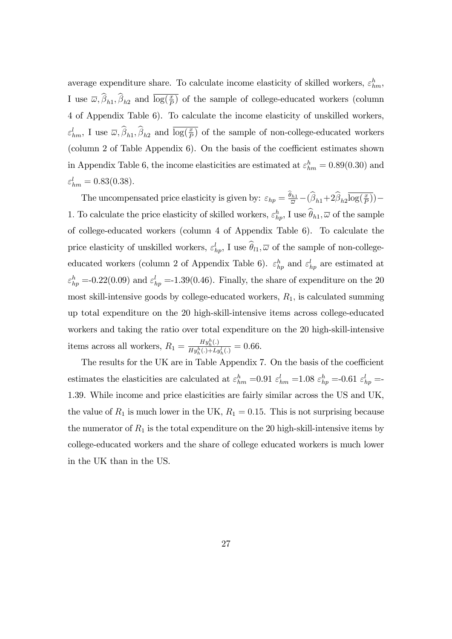average expenditure share. To calculate income elasticity of skilled workers,  $\varepsilon_{hm}^h$ , I use  $\overline{\omega}, \hat{\beta}_{h1}, \hat{\beta}_{h2}$  and  $\overline{\log(\frac{x}{p})}$  of the sample of college-educated workers (column 4 of Appendix Table 6). To calculate the income elasticity of unskilled workers,  $\varepsilon_{hm}^l$ , I use  $\overline{\omega}, \overline{\beta}_{h1}, \overline{\beta}_{h2}$  and  $\overline{\log(\frac{x}{p})}$  of the sample of non-college-educated workers (column 2 of Table Appendix  $6$ ). On the basis of the coefficient estimates shown in Appendix Table 6, the income elasticities are estimated at  $\varepsilon_{hm}^h = 0.89(0.30)$  and  $\varepsilon_{hm}^l = 0.83(0.38).$ 

The uncompensated price elasticity is given by:  $\varepsilon_{hp} = \frac{\theta_{h1}}{\overline{\omega}} - (\widehat{\beta}_{h1} + 2\widehat{\beta}_{h2}\overline{\log(\frac{x}{p})}) -$ 1. To calculate the price elasticity of skilled workers,  $\varepsilon_{hp}^h$ , I use  $\theta_{h1}$ ,  $\overline{\omega}$  of the sample of college-educated workers (column 4 of Appendix Table 6). To calculate the price elasticity of unskilled workers,  $\varepsilon_{hp}^l$ , I use  $\hat{\theta}_{l1}$ ,  $\overline{\omega}$  of the sample of non-collegeeducated workers (column 2 of Appendix Table 6).  $\varepsilon_{hp}^h$  and  $\varepsilon_{hp}^l$  are estimated at  $\varepsilon_{hp}^h$  =-0.22(0.09) and  $\varepsilon_{hp}^l$  =-1.39(0.46). Finally, the share of expenditure on the 20 most skill-intensive goods by college-educated workers,  $R_1$ , is calculated summing up total expenditure on the 20 high-skill-intensive items across college-educated workers and taking the ratio over total expenditure on the 20 high-skill-intensive items across all workers,  $R_1 = \frac{H y_h^h(.)}{H y_h^h(.) + L_i}$  $\frac{Hy_{h}(\cdot)}{Hy_{h}^{h}(\cdot)+Ly_{h}^{l}(\cdot)}=0.66.$ 

The results for the UK are in Table Appendix 7. On the basis of the coefficient estimates the elasticities are calculated at  $\varepsilon_{hm}^h$  =0.91  $\varepsilon_{hm}^l$  =1.08  $\varepsilon_{hp}^h$  =-0.61  $\varepsilon_{hp}^l$  =-1.39. While income and price elasticities are fairly similar across the US and UK, the value of  $R_1$  is much lower in the UK,  $R_1 = 0.15$ . This is not surprising because the numerator of  $R_1$  is the total expenditure on the 20 high-skill-intensive items by college-educated workers and the share of college educated workers is much lower in the UK than in the US.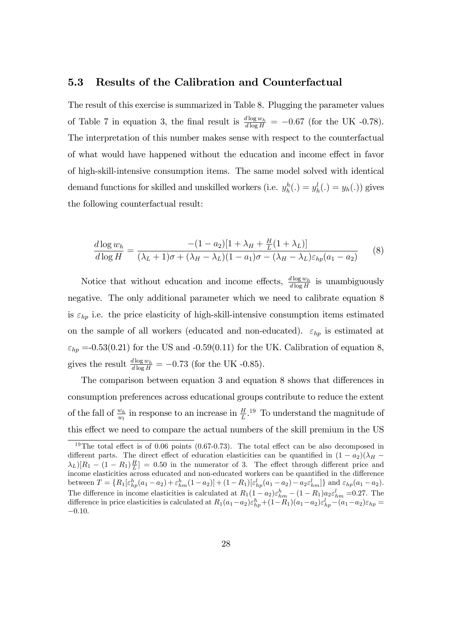#### 5.3 Results of the Calibration and Counterfactual

The result of this exercise is summarized in Table 8. Plugging the parameter values of Table 7 in equation 3, the final result is  $\frac{d \log w_h}{d \log H} = -0.67$  (for the UK -0.78). The interpretation of this number makes sense with respect to the counterfactual of what would have happened without the education and income effect in favor of high-skill-intensive consumption items. The same model solved with identical demand functions for skilled and unskilled workers (i.e.  $y_h^h(.) = y_h(.)$ ) gives the following counterfactual result:

$$
\frac{d \log w_h}{d \log H} = \frac{-(1-a_2)[1+\lambda_H + \frac{H}{L}(1+\lambda_L)]}{(\lambda_L + 1)\sigma + (\lambda_H - \lambda_L)(1-a_1)\sigma - (\lambda_H - \lambda_L)\varepsilon_{hp}(a_1-a_2)}\tag{8}
$$

Notice that without education and income effects,  $\frac{d \log w_h}{d \log H}$  is unambiguously negative. The only additional parameter which we need to calibrate equation 8 is  $\varepsilon_{hp}$  i.e. the price elasticity of high-skill-intensive consumption items estimated on the sample of all workers (educated and non-educated).  $\varepsilon_{hp}$  is estimated at  $\varepsilon_{hp}$  =-0.53(0.21) for the US and -0.59(0.11) for the UK. Calibration of equation 8, gives the result  $\frac{d \log w_h}{d \log H} = -0.73$  (for the UK -0.85).

The comparison between equation 3 and equation 8 shows that differences in consumption preferences across educational groups contribute to reduce the extent of the fall of  $\frac{w_h}{w_l}$  in response to an increase in  $\frac{H}{L}$ .<sup>19</sup> To understand the magnitude of this effect we need to compare the actual numbers of the skill premium in the US

<sup>&</sup>lt;sup>19</sup>The total effect is of 0.06 points  $(0.67-0.73)$ . The total effect can be also decomposed in different parts. The direct effect of education elasticities can be quantified in  $(1 - a_2)(\lambda_H (\lambda_L)[R_1 - (1 - R_1)\frac{H}{L}] = 0.50$  in the numerator of 3. The effect through different price and income elasticities across educated and non-educated workers can be quantified in the difference between  $T = \{R_1[\varepsilon_{hp}^h(a_1 - a_2) + \varepsilon_{hm}^h(1 - a_2)] + (1 - R_1)[\varepsilon_{hp}^l(a_1 - a_2) - a_2 \varepsilon_{hm}^l]\}\$  and  $\varepsilon_{hp}(a_1 - a_2)$ . The difference in income elasticities is calculated at  $R_1(1-a_2)\varepsilon_{hm}^h - (1-R_1)a_2\varepsilon_{hm}^l = 0.27$ . The difference in price elasticities is calculated at  $R_1(a_1-a_2)\varepsilon_{hp}^h+(1-R_1)(a_1-a_2)\varepsilon_{hp}^l-(a_1-a_2)\varepsilon_{hp} =$  $-0.10.$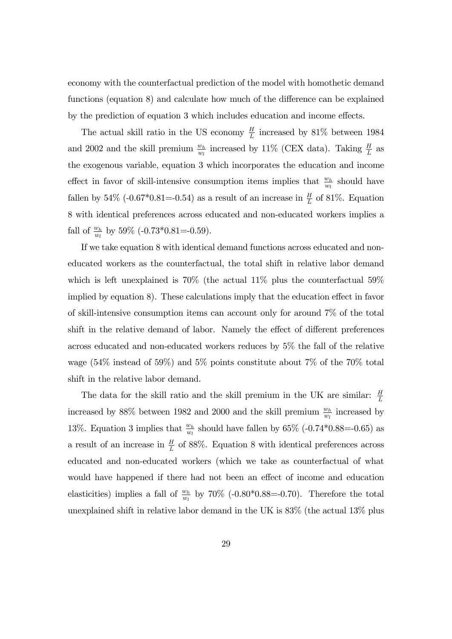economy with the counterfactual prediction of the model with homothetic demand functions (equation 8) and calculate how much of the difference can be explained by the prediction of equation 3 which includes education and income effects.

The actual skill ratio in the US economy  $\frac{H}{L}$  increased by 81% between 1984 and 2002 and the skill premium  $\frac{w_h}{w_l}$  increased by 11% (CEX data). Taking  $\frac{H}{L}$  as the exogenous variable, equation 3 which incorporates the education and income effect in favor of skill-intensive consumption items implies that  $\frac{w_h}{w_l}$  should have fallen by 54% (-0.67\*0.81=-0.54) as a result of an increase in  $\frac{H}{L}$  of 81%. Equation 8 with identical preferences across educated and non-educated workers implies a fall of  $\frac{w_h}{w_l}$  by 59% (-0.73\*0.81=-0.59).

If we take equation 8 with identical demand functions across educated and noneducated workers as the counterfactual, the total shift in relative labor demand which is left unexplained is  $70\%$  (the actual  $11\%$  plus the counterfactual  $59\%$ implied by equation 8). These calculations imply that the education effect in favor of skill-intensive consumption items can account only for around 7% of the total shift in the relative demand of labor. Namely the effect of different preferences across educated and non-educated workers reduces by 5% the fall of the relative wage (54% instead of 59%) and 5% points constitute about 7% of the 70% total shift in the relative labor demand.

The data for the skill ratio and the skill premium in the UK are similar:  $\frac{H}{L}$ increased by 88% between 1982 and 2000 and the skill premium  $\frac{w_h}{w_l}$  increased by 13%. Equation 3 implies that  $\frac{w_h}{w_l}$  should have fallen by 65% (-0.74\*0.88=-0.65) as a result of an increase in  $\frac{H}{L}$  of 88%. Equation 8 with identical preferences across educated and non-educated workers (which we take as counterfactual of what would have happened if there had not been an effect of income and education elasticities) implies a fall of  $\frac{w_h}{w_l}$  by 70% (-0.80\*0.88=-0.70). Therefore the total unexplained shift in relative labor demand in the UK is 83% (the actual 13% plus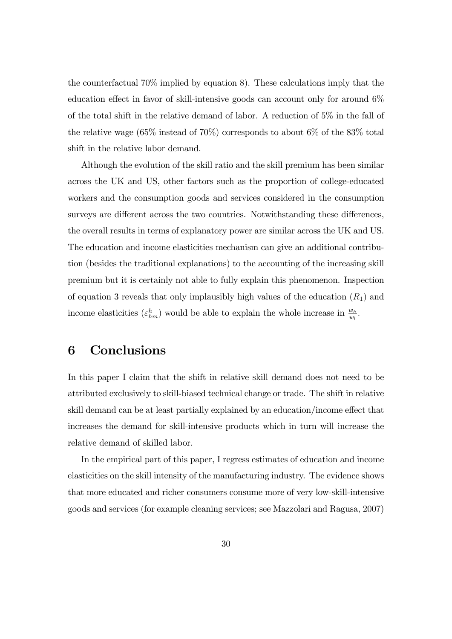the counterfactual 70% implied by equation 8). These calculations imply that the education effect in favor of skill-intensive goods can account only for around  $6\%$ of the total shift in the relative demand of labor. A reduction of 5% in the fall of the relative wage  $(65\%$  instead of 70%) corresponds to about 6% of the 83% total shift in the relative labor demand.

Although the evolution of the skill ratio and the skill premium has been similar across the UK and US, other factors such as the proportion of college-educated workers and the consumption goods and services considered in the consumption surveys are different across the two countries. Notwithstanding these differences, the overall results in terms of explanatory power are similar across the UK and US. The education and income elasticities mechanism can give an additional contribution (besides the traditional explanations) to the accounting of the increasing skill premium but it is certainly not able to fully explain this phenomenon. Inspection of equation 3 reveals that only implausibly high values of the education  $(R_1)$  and income elasticities  $(\varepsilon_{hm}^h)$  would be able to explain the whole increase in  $\frac{w_h}{w_l}$ .

# 6 Conclusions

In this paper I claim that the shift in relative skill demand does not need to be attributed exclusively to skill-biased technical change or trade. The shift in relative skill demand can be at least partially explained by an education/income effect that increases the demand for skill-intensive products which in turn will increase the relative demand of skilled labor.

In the empirical part of this paper, I regress estimates of education and income elasticities on the skill intensity of the manufacturing industry. The evidence shows that more educated and richer consumers consume more of very low-skill-intensive goods and services (for example cleaning services; see Mazzolari and Ragusa, 2007)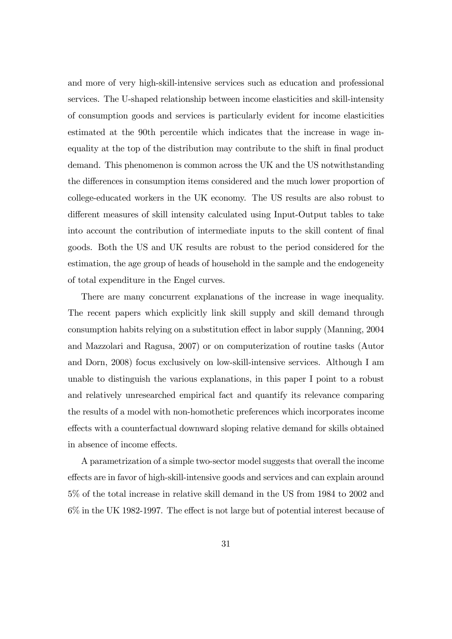and more of very high-skill-intensive services such as education and professional services. The U-shaped relationship between income elasticities and skill-intensity of consumption goods and services is particularly evident for income elasticities estimated at the 90th percentile which indicates that the increase in wage inequality at the top of the distribution may contribute to the shift in final product demand. This phenomenon is common across the UK and the US notwithstanding the differences in consumption items considered and the much lower proportion of college-educated workers in the UK economy. The US results are also robust to different measures of skill intensity calculated using Input-Output tables to take into account the contribution of intermediate inputs to the skill content of final goods. Both the US and UK results are robust to the period considered for the estimation, the age group of heads of household in the sample and the endogeneity of total expenditure in the Engel curves.

There are many concurrent explanations of the increase in wage inequality. The recent papers which explicitly link skill supply and skill demand through consumption habits relying on a substitution effect in labor supply (Manning, 2004 and Mazzolari and Ragusa, 2007) or on computerization of routine tasks (Autor and Dorn, 2008) focus exclusively on low-skill-intensive services. Although I am unable to distinguish the various explanations, in this paper I point to a robust and relatively unresearched empirical fact and quantify its relevance comparing the results of a model with non-homothetic preferences which incorporates income effects with a counterfactual downward sloping relative demand for skills obtained in absence of income effects.

A parametrization of a simple two-sector model suggests that overall the income effects are in favor of high-skill-intensive goods and services and can explain around 5% of the total increase in relative skill demand in the US from 1984 to 2002 and  $6\%$  in the UK 1982-1997. The effect is not large but of potential interest because of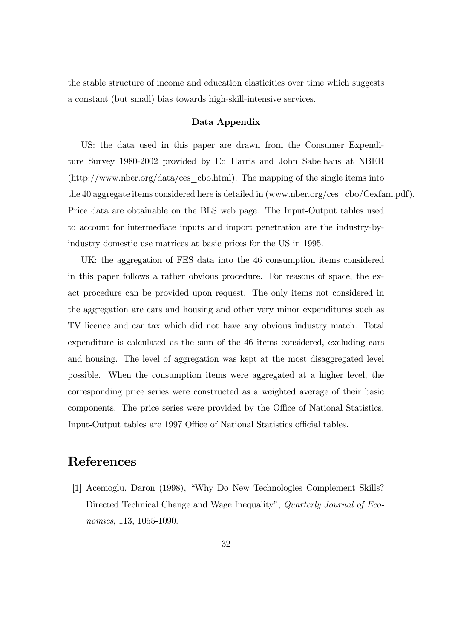the stable structure of income and education elasticities over time which suggests a constant (but small) bias towards high-skill-intensive services.

#### Data Appendix

US: the data used in this paper are drawn from the Consumer Expenditure Survey 1980-2002 provided by Ed Harris and John Sabelhaus at NBER (http://www.nber.org/data/ces\_cbo.html). The mapping of the single items into the 40 aggregate items considered here is detailed in (www.nber.org/ces\_cbo/Cexfam.pdf). Price data are obtainable on the BLS web page. The Input-Output tables used to account for intermediate inputs and import penetration are the industry-byindustry domestic use matrices at basic prices for the US in 1995.

UK: the aggregation of FES data into the 46 consumption items considered in this paper follows a rather obvious procedure. For reasons of space, the exact procedure can be provided upon request. The only items not considered in the aggregation are cars and housing and other very minor expenditures such as TV licence and car tax which did not have any obvious industry match. Total expenditure is calculated as the sum of the 46 items considered, excluding cars and housing. The level of aggregation was kept at the most disaggregated level possible. When the consumption items were aggregated at a higher level, the corresponding price series were constructed as a weighted average of their basic components. The price series were provided by the Office of National Statistics. Input-Output tables are 1997 Office of National Statistics official tables.

### References

[1] Acemoglu, Daron (1998), "Why Do New Technologies Complement Skills? Directed Technical Change and Wage Inequality", *Quarterly Journal of Eco*nomics, 113, 1055-1090.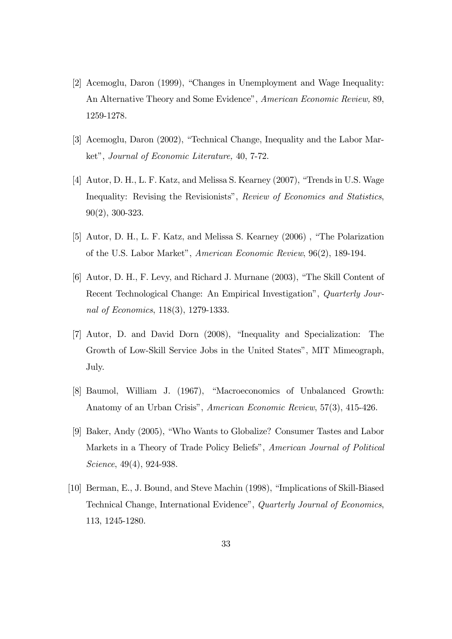- [2] Acemoglu, Daron  $(1999)$ , "Changes in Unemployment and Wage Inequality: An Alternative Theory and Some Evidence", American Economic Review, 89, 1259-1278.
- [3] Acemoglu, Daron (2002), "Technical Change, Inequality and the Labor Market", Journal of Economic Literature, 40, 7-72.
- [4] Autor, D. H., L. F. Katz, and Melissa S. Kearney (2007), "Trends in U.S. Wage Inequality: Revising the Revisionists", Review of Economics and Statistics, 90(2), 300-323.
- [5] Autor, D. H., L. F. Katz, and Melissa S. Kearney (2006), "The Polarization of the U.S. Labor Marketî, American Economic Review, 96(2), 189-194.
- [6] Autor, D. H., F. Levy, and Richard J. Murnane (2003), "The Skill Content of Recent Technological Change: An Empirical Investigation", *Quarterly Jour*nal of Economics, 118(3), 1279-1333.
- [7] Autor, D. and David Dorn (2008), "Inequality and Specialization: The Growth of Low-Skill Service Jobs in the United Statesî, MIT Mimeograph, July.
- [8] Baumol, William J. (1967), "Macroeconomics of Unbalanced Growth: Anatomy of an Urban Crisis", American Economic Review, 57(3), 415-426.
- [9] Baker, Andy  $(2005)$ , "Who Wants to Globalize? Consumer Tastes and Labor Markets in a Theory of Trade Policy Beliefs", American Journal of Political Science, 49(4), 924-938.
- [10] Berman, E., J. Bound, and Steve Machin (1998), "Implications of Skill-Biased Technical Change, International Evidenceî, Quarterly Journal of Economics, 113, 1245-1280.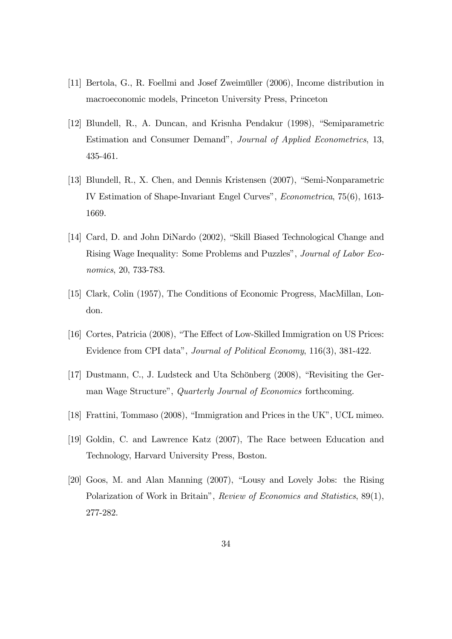- [11] Bertola, G., R. Foellmi and Josef Zweimüller (2006), Income distribution in macroeconomic models, Princeton University Press, Princeton
- [12] Blundell, R., A. Duncan, and Krisnha Pendakur (1998), "Semiparametric Estimation and Consumer Demand", Journal of Applied Econometrics, 13, 435-461.
- [13] Blundell, R., X. Chen, and Dennis Kristensen (2007), "Semi-Nonparametric IV Estimation of Shape-Invariant Engel Curves", *Econometrica*, 75(6), 1613-1669.
- [14] Card, D. and John DiNardo (2002), "Skill Biased Technological Change and Rising Wage Inequality: Some Problems and Puzzles", Journal of Labor Economics, 20, 733-783.
- [15] Clark, Colin (1957), The Conditions of Economic Progress, MacMillan, London.
- [16] Cortes, Patricia (2008), "The Effect of Low-Skilled Immigration on US Prices: Evidence from CPI data", Journal of Political Economy, 116(3), 381-422.
- [17] Dustmann, C., J. Ludsteck and Uta Schönberg  $(2008)$ , "Revisiting the German Wage Structure", *Quarterly Journal of Economics* forthcoming.
- [18] Frattini, Tommaso  $(2008)$ , "Immigration and Prices in the UK", UCL mimeo.
- [19] Goldin, C. and Lawrence Katz (2007), The Race between Education and Technology, Harvard University Press, Boston.
- $[20]$  Goos, M. and Alan Manning  $(2007)$ , "Lousy and Lovely Jobs: the Rising Polarization of Work in Britain", Review of Economics and Statistics, 89(1), 277-282.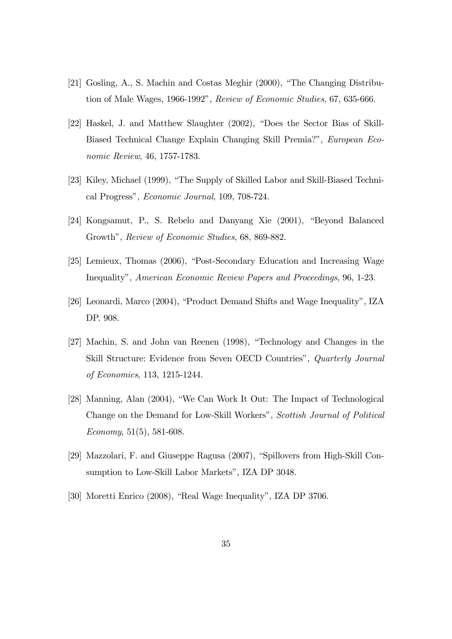- [21] Gosling, A., S. Machin and Costas Meghir  $(2000)$ , "The Changing Distribution of Male Wages, 1966-1992", Review of Economic Studies, 67, 635-666.
- $[22]$  Haskel, J. and Matthew Slaughter  $(2002)$ , "Does the Sector Bias of Skill-Biased Technical Change Explain Changing Skill Premia?", European Economic Review, 46, 1757-1783.
- [23] Kiley, Michael (1999), "The Supply of Skilled Labor and Skill-Biased Technical Progress", Economic Journal, 109, 708-724.
- $[24]$  Kongsamut, P., S. Rebelo and Danyang Xie  $(2001)$ , "Beyond Balanced Growth", Review of Economic Studies, 68, 869-882.
- [25] Lemieux, Thomas (2006), "Post-Secondary Education and Increasing Wage Inequality", American Economic Review Papers and Proceedings, 96, 1-23.
- $[26]$  Leonardi, Marco (2004), "Product Demand Shifts and Wage Inequality", IZA DP. 908.
- [27] Machin, S. and John van Reenen (1998), "Technology and Changes in the Skill Structure: Evidence from Seven OECD Countries", Quarterly Journal of Economics, 113, 1215-1244.
- [28] Manning, Alan  $(2004)$ , "We Can Work It Out: The Impact of Technological Change on the Demand for Low-Skill Workers", Scottish Journal of Political Economy,  $51(5)$ ,  $581-608$ .
- [29] Mazzolari, F. and Giuseppe Ragusa  $(2007)$ , "Spillovers from High-Skill Consumption to Low-Skill Labor Markets", IZA DP 3048.
- [30] Moretti Enrico (2008), "Real Wage Inequality", IZA DP 3706.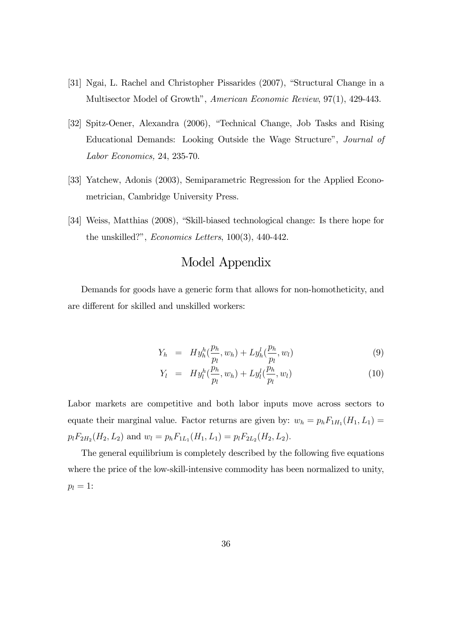- [31] Ngai, L. Rachel and Christopher Pissarides (2007), "Structural Change in a Multisector Model of Growth", American Economic Review, 97(1), 429-443.
- [32] Spitz-Oener, Alexandra (2006), "Technical Change, Job Tasks and Rising Educational Demands: Looking Outside the Wage Structure", *Journal of* Labor Economics, 24, 235-70.
- [33] Yatchew, Adonis (2003), Semiparametric Regression for the Applied Econometrician, Cambridge University Press.
- [34] Weiss, Matthias (2008), "Skill-biased technological change: Is there hope for the unskilled?", *Economics Letters*, 100(3), 440-442.

# Model Appendix

Demands for goods have a generic form that allows for non-homotheticity, and are different for skilled and unskilled workers:

$$
Y_h = H y_h^h(\frac{p_h}{p_l}, w_h) + L y_h^l(\frac{p_h}{p_l}, w_l) \tag{9}
$$

$$
Y_l = H y_l^h(\frac{p_h}{p_l}, w_h) + L y_l^l(\frac{p_h}{p_l}, w_l)
$$
\n(10)

Labor markets are competitive and both labor inputs move across sectors to equate their marginal value. Factor returns are given by:  $w_h = p_h F_{1H_1}(H_1, L_1)$  $p_l F_{2H_2}(H_2, L_2)$  and  $w_l = p_h F_{1L_1}(H_1, L_1) = p_l F_{2L_2}(H_2, L_2)$ .

The general equilibrium is completely described by the following five equations where the price of the low-skill-intensive commodity has been normalized to unity,  $p_l = 1$ :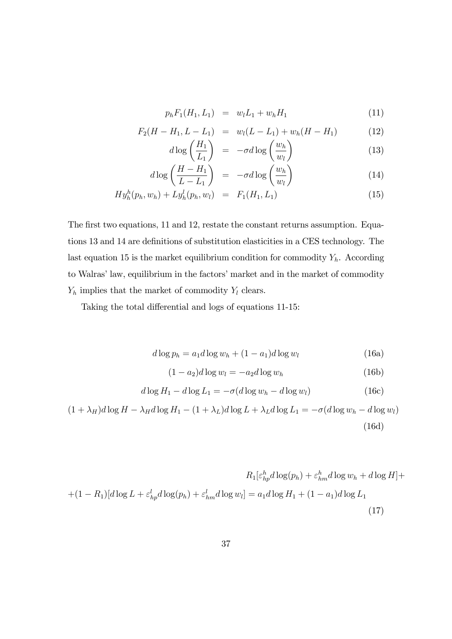$$
p_h F_1(H_1, L_1) = w_l L_1 + w_h H_1 \tag{11}
$$

$$
F_2(H - H_1, L - L_1) = w_l(L - L_1) + w_h(H - H_1)
$$
(12)

$$
d \log \left(\frac{H_1}{L_1}\right) = -\sigma d \log \left(\frac{w_h}{w_l}\right) \tag{13}
$$
\n
$$
(H - H_1) \qquad \qquad (w_h)
$$

$$
d \log \left( \frac{H - H_1}{L - L_1} \right) = -\sigma d \log \left( \frac{w_h}{w_l} \right) \tag{14}
$$

$$
Hyh(nh, w_h) + Lyh(nh, w_l) = F_1(H_1, L_1)
$$
\n(15)

The first two equations, 11 and 12, restate the constant returns assumption. Equations 13 and 14 are definitions of substitution elasticities in a CES technology. The last equation 15 is the market equilibrium condition for commodity  $Y_h$ . According to Walras' law, equilibrium in the factors' market and in the market of commodity  $\mathcal{Y}_h$  implies that the market of commodity  $\mathcal{Y}_l$  clears.

Taking the total differential and logs of equations 11-15:

$$
d \log p_h = a_1 d \log w_h + (1 - a_1) d \log w_l \tag{16a}
$$

$$
(1 - a2)d \log wl = -a2d \log wh
$$
 (16b)

$$
d \log H_1 - d \log L_1 = -\sigma(d \log w_h - d \log w_l) \tag{16c}
$$

 $(1 + \lambda_H)d\log H - \lambda_Hd\log H_1 - (1 + \lambda_L)d\log L + \lambda_Ld\log L_1 = -\sigma(d\log w_h - d\log w_l)$ (16d)

$$
R_1[\varepsilon_{hp}^h d \log(p_h) + \varepsilon_{hm}^h d \log w_h + d \log H] +
$$
  
+
$$
(1 - R_1)[d \log L + \varepsilon_{hp}^l d \log(p_h) + \varepsilon_{hm}^l d \log w_l] = a_1 d \log H_1 + (1 - a_1)d \log L_1
$$
  
(17)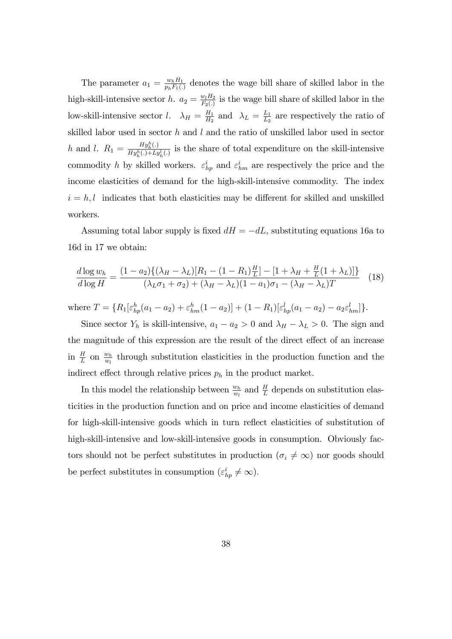The parameter  $a_1 = \frac{w_h H_1}{p_h F_1(r)}$  $\frac{w_h H_1}{p_h F_1(.)}$  denotes the wage bill share of skilled labor in the high-skill-intensive sector h.  $a_2 = \frac{w_l H_2}{F_2(r)}$  $\frac{w_l H_2}{F_2(.)}$  is the wage bill share of skilled labor in the low-skill-intensive sector l.  $\lambda_H = \frac{H_1}{H_2}$  $\frac{H_1}{H_2}$  and  $\lambda_L = \frac{L_1}{L_2}$  $\frac{L_1}{L_2}$  are respectively the ratio of skilled labor used in sector  $h$  and  $l$  and the ratio of unskilled labor used in sector h and l.  $R_1 = \frac{Hy_h^h(.)}{Hu^h(.)+Li}$  $\frac{H_{y_h}(\cdot)}{H_{y_h}^{h}(\cdot)+L_{y_h}^{l}(\cdot)}$  is the share of total expenditure on the skill-intensive commodity h by skilled workers.  $\varepsilon_{hp}^i$  and  $\varepsilon_{hm}^i$  are respectively the price and the income elasticities of demand for the high-skill-intensive commodity. The index  $i = h, l$  indicates that both elasticities may be different for skilled and unskilled workers.

Assuming total labor supply is fixed  $dH = -dL$ , substituting equations 16a to 16d in 17 we obtain:

$$
\frac{d \log w_h}{d \log H} = \frac{(1 - a_2) \{ (\lambda_H - \lambda_L) [R_1 - (1 - R_1) \frac{H}{L}] - [1 + \lambda_H + \frac{H}{L} (1 + \lambda_L)] \}}{(\lambda_L \sigma_1 + \sigma_2) + (\lambda_H - \lambda_L) (1 - a_1) \sigma_1 - (\lambda_H - \lambda_L) T} \tag{18}
$$

where  $T = \{R_1[\varepsilon_{hp}^h(a_1 - a_2) + \varepsilon_{hm}^h(1 - a_2)] + (1 - R_1)[\varepsilon_{hp}^l(a_1 - a_2) - a_2\varepsilon_{hm}^l]\}.$ 

Since sector  $Y_h$  is skill-intensive,  $a_1 - a_2 > 0$  and  $\lambda_H - \lambda_L > 0$ . The sign and the magnitude of this expression are the result of the direct effect of an increase in  $\frac{H}{L}$  on  $\frac{w_h}{w_l}$  through substitution elasticities in the production function and the indirect effect through relative prices  $p_h$  in the product market.

In this model the relationship between  $\frac{w_h}{w_l}$  and  $\frac{H}{L}$  depends on substitution elasticities in the production function and on price and income elasticities of demand for high-skill-intensive goods which in turn reflect elasticities of substitution of high-skill-intensive and low-skill-intensive goods in consumption. Obviously factors should not be perfect substitutes in production ( $\sigma_i \neq \infty$ ) nor goods should be perfect substitutes in consumption  $(\varepsilon_{hp}^i \neq \infty)$ .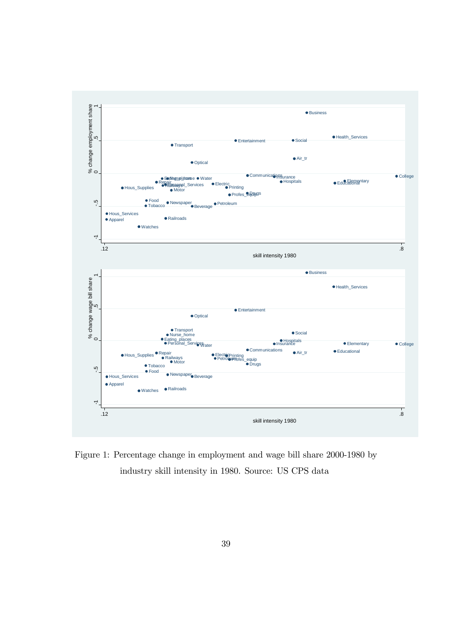

Figure 1: Percentage change in employment and wage bill share 2000-1980 by industry skill intensity in 1980. Source: US CPS data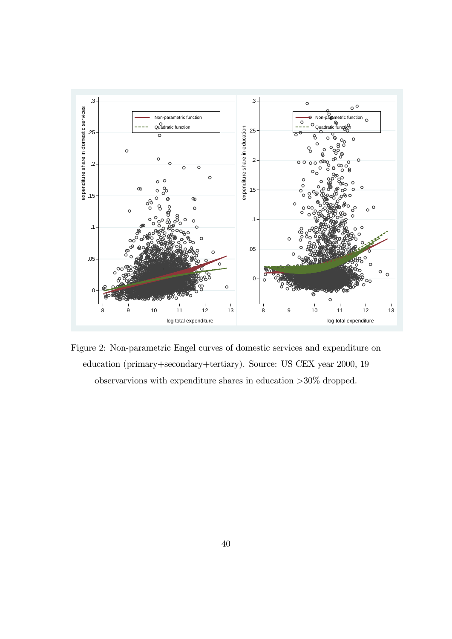

Figure 2: Non-parametric Engel curves of domestic services and expenditure on education (primary+secondary+tertiary). Source: US CEX year 2000, 19 observarvions with expenditure shares in education >30% dropped.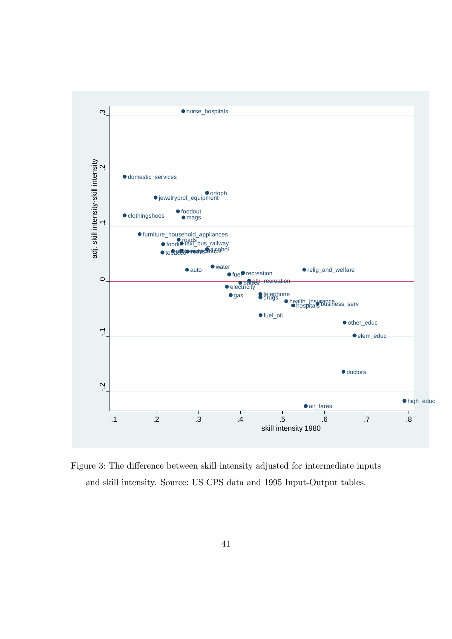

Figure 3: The difference between skill intensity adjusted for intermediate inputs and skill intensity. Source: US CPS data and 1995 Input-Output tables.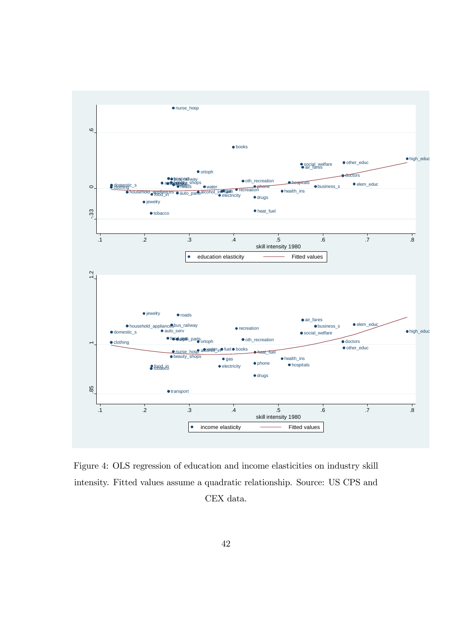

Figure 4: OLS regression of education and income elasticities on industry skill intensity. Fitted values assume a quadratic relationship. Source: US CPS and CEX data.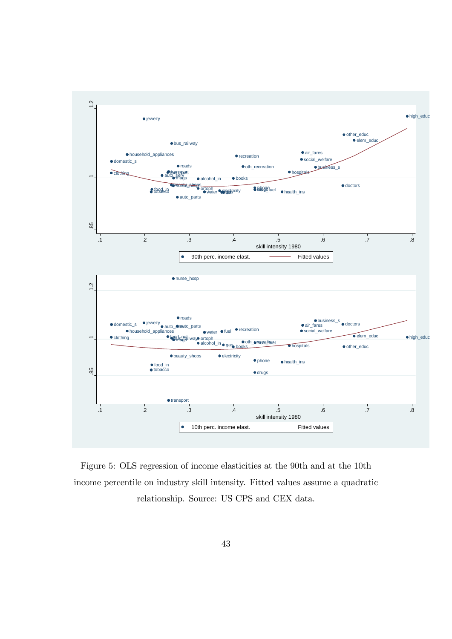

Figure 5: OLS regression of income elasticities at the 90th and at the 10th income percentile on industry skill intensity. Fitted values assume a quadratic relationship. Source: US CPS and CEX data.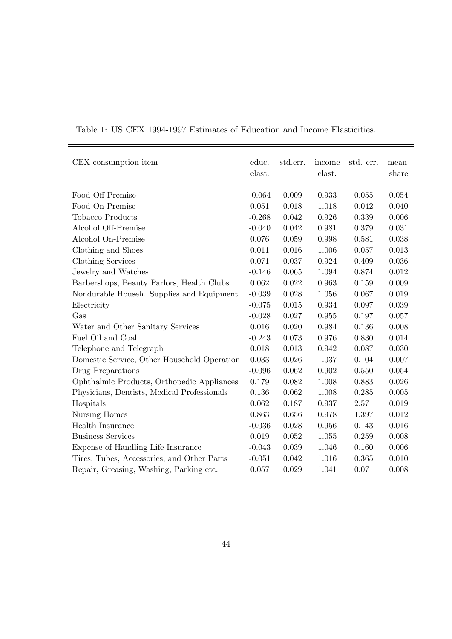| CEX consumption item                        | educ.    | std.err. | income | std. err. | mean  |
|---------------------------------------------|----------|----------|--------|-----------|-------|
|                                             | elast.   |          | elast. |           | share |
| Food Off-Premise                            | $-0.064$ | 0.009    | 0.933  | 0.055     | 0.054 |
| Food On-Premise                             | 0.051    | 0.018    | 1.018  | 0.042     | 0.040 |
| <b>Tobacco Products</b>                     | $-0.268$ | 0.042    | 0.926  | 0.339     | 0.006 |
| Alcohol Off-Premise                         | $-0.040$ | 0.042    | 0.981  | 0.379     | 0.031 |
| Alcohol On-Premise                          | 0.076    | 0.059    | 0.998  | 0.581     | 0.038 |
| Clothing and Shoes                          | 0.011    | 0.016    | 1.006  | 0.057     | 0.013 |
| Clothing Services                           | 0.071    | 0.037    | 0.924  | 0.409     | 0.036 |
| Jewelry and Watches                         | $-0.146$ | 0.065    | 1.094  | 0.874     | 0.012 |
| Barbershops, Beauty Parlors, Health Clubs   | 0.062    | 0.022    | 0.963  | 0.159     | 0.009 |
| Nondurable Househ. Supplies and Equipment   | $-0.039$ | 0.028    | 1.056  | 0.067     | 0.019 |
| Electricity                                 | $-0.075$ | 0.015    | 0.934  | 0.097     | 0.039 |
| Gas                                         | $-0.028$ | 0.027    | 0.955  | 0.197     | 0.057 |
| Water and Other Sanitary Services           | 0.016    | 0.020    | 0.984  | 0.136     | 0.008 |
| Fuel Oil and Coal                           | $-0.243$ | 0.073    | 0.976  | 0.830     | 0.014 |
| Telephone and Telegraph                     | 0.018    | 0.013    | 0.942  | 0.087     | 0.030 |
| Domestic Service, Other Household Operation | 0.033    | 0.026    | 1.037  | 0.104     | 0.007 |
| Drug Preparations                           | $-0.096$ | 0.062    | 0.902  | 0.550     | 0.054 |
| Ophthalmic Products, Orthopedic Appliances  | 0.179    | 0.082    | 1.008  | 0.883     | 0.026 |
| Physicians, Dentists, Medical Professionals | 0.136    | 0.062    | 1.008  | 0.285     | 0.005 |
| Hospitals                                   | 0.062    | 0.187    | 0.937  | 2.571     | 0.019 |
| Nursing Homes                               | 0.863    | 0.656    | 0.978  | 1.397     | 0.012 |
| Health Insurance                            | $-0.036$ | 0.028    | 0.956  | 0.143     | 0.016 |
| <b>Business Services</b>                    | 0.019    | 0.052    | 1.055  | 0.259     | 0.008 |
| Expense of Handling Life Insurance          | $-0.043$ | 0.039    | 1.046  | 0.160     | 0.006 |
| Tires, Tubes, Accessories, and Other Parts  | $-0.051$ | 0.042    | 1.016  | 0.365     | 0.010 |
| Repair, Greasing, Washing, Parking etc.     | 0.057    | 0.029    | 1.041  | 0.071     | 0.008 |

Table 1: US CEX 1994-1997 Estimates of Education and Income Elasticities.

É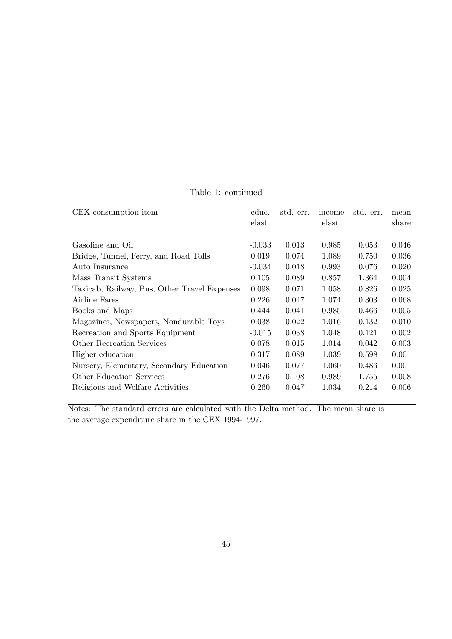### Table 1: continued

| CEX consumption item                         | educ.    | std. err. | income | std. err. | mean  |
|----------------------------------------------|----------|-----------|--------|-----------|-------|
|                                              | elast.   |           | elast. |           | share |
|                                              |          |           |        |           |       |
| Gasoline and Oil                             | $-0.033$ | 0.013     | 0.985  | 0.053     | 0.046 |
| Bridge, Tunnel, Ferry, and Road Tolls        | 0.019    | 0.074     | 1.089  | 0.750     | 0.036 |
| Auto Insurance                               | $-0.034$ | 0.018     | 0.993  | 0.076     | 0.020 |
| Mass Transit Systems                         | 0.105    | 0.089     | 0.857  | 1.364     | 0.004 |
| Taxicab, Railway, Bus, Other Travel Expenses | 0.098    | 0.071     | 1.058  | 0.826     | 0.025 |
| Airline Fares                                | 0.226    | 0.047     | 1.074  | 0.303     | 0.068 |
| Books and Maps                               | 0.444    | 0.041     | 0.985  | 0.466     | 0.005 |
| Magazines, Newspapers, Nondurable Toys       | 0.038    | 0.022     | 1.016  | 0.132     | 0.010 |
| Recreation and Sports Equipment              | $-0.015$ | 0.038     | 1.048  | 0.121     | 0.002 |
| Other Recreation Services                    | 0.078    | 0.015     | 1.014  | 0.042     | 0.003 |
| Higher education                             | 0.317    | 0.089     | 1.039  | 0.598     | 0.001 |
| Nursery, Elementary, Secondary Education     | 0.046    | 0.077     | 1.060  | 0.486     | 0.001 |
| <b>Other Education Services</b>              | 0.276    | 0.108     | 0.989  | 1.755     | 0.008 |
| Religious and Welfare Activities             | 0.260    | 0.047     | 1.034  | 0.214     | 0.006 |
|                                              |          |           |        |           |       |

Notes: The standard errors are calculated with the Delta method. The mean share is the average expenditure share in the CEX 1994-1997.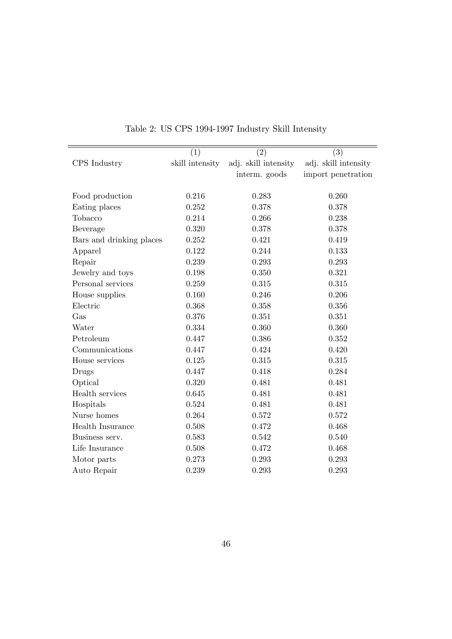|                          | (1)             | (2)                  | (3)                  |
|--------------------------|-----------------|----------------------|----------------------|
| CPS Industry             | skill intensity | adj. skill intensity | adj. skill intensity |
|                          |                 | interm. goods        | import penetration   |
|                          |                 |                      |                      |
| Food production          | 0.216           | 0.283                | 0.260                |
| Eating places            | 0.252           | 0.378                | 0.378                |
| Tobacco                  | 0.214           | 0.266                | 0.238                |
| Beverage                 | 0.320           | 0.378                | 0.378                |
| Bars and drinking places | 0.252           | 0.421                | 0.419                |
| Apparel                  | 0.122           | 0.244                | 0.133                |
| Repair                   | 0.239           | 0.293                | 0.293                |
| Jewelry and toys         | 0.198           | 0.350                | 0.321                |
| Personal services        | 0.259           | 0.315                | 0.315                |
| House supplies           | 0.160           | 0.246                | 0.206                |
| Electric                 | 0.368           | 0.358                | 0.356                |
| Gas                      | 0.376           | 0.351                | 0.351                |
| Water                    | 0.334           | 0.360                | 0.360                |
| Petroleum                | 0.447           | 0.386                | 0.352                |
| Communications           | 0.447           | 0.424                | 0.420                |
| House services           | 0.125           | 0.315                | 0.315                |
| Drugs                    | 0.447           | 0.418                | 0.284                |
| Optical                  | 0.320           | 0.481                | 0.481                |
| Health services          | 0.645           | 0.481                | 0.481                |
| Hospitals                | 0.524           | 0.481                | 0.481                |
| Nurse homes              | 0.264           | 0.572                | 0.572                |
| Health Insurance         | 0.508           | 0.472                | 0.468                |
| Business serv.           | 0.583           | 0.542                | 0.540                |
| Life Insurance           | 0.508           | 0.472                | 0.468                |
| Motor parts              | 0.273           | 0.293                | 0.293                |
| Auto Repair              | 0.239           | 0.293                | 0.293                |

# Table 2: US CPS 1994-1997 Industry Skill Intensity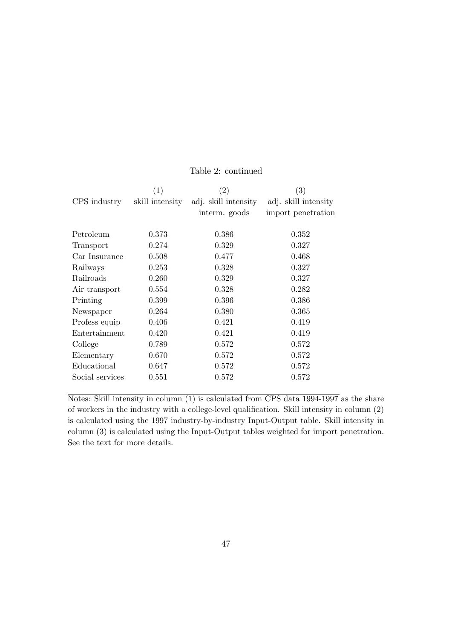|                 | (1)             | $\left( 2\right)$    | $\left( 3\right)$    |
|-----------------|-----------------|----------------------|----------------------|
| CPS industry    | skill intensity | adj. skill intensity | adj. skill intensity |
|                 |                 | interm. goods        | import penetration   |
|                 |                 |                      |                      |
| Petroleum       | 0.373           | 0.386                | 0.352                |
| Transport       | 0.274           | 0.329                | 0.327                |
| Car Insurance   | 0.508           | 0.477                | 0.468                |
| Railways        | 0.253           | 0.328                | 0.327                |
| Railroads       | 0.260           | 0.329                | 0.327                |
| Air transport   | 0.554           | 0.328                | 0.282                |
| Printing        | 0.399           | 0.396                | 0.386                |
| Newspaper       | 0.264           | 0.380                | 0.365                |
| Profess equip   | 0.406           | 0.421                | 0.419                |
| Entertainment   | 0.420           | 0.421                | 0.419                |
| College         | 0.789           | 0.572                | 0.572                |
| Elementary      | 0.670           | 0.572                | 0.572                |
| Educational     | 0.647           | 0.572                | 0.572                |
| Social services | 0.551           | 0.572                | 0.572                |
|                 |                 |                      |                      |

#### Table 2: continued

Notes: Skill intensity in column (1) is calculated from CPS data 1994-1997 as the share of workers in the industry with a college-level qualification. Skill intensity in column  $(2)$ is calculated using the 1997 industry-by-industry Input-Output table. Skill intensity in column (3) is calculated using the Input-Output tables weighted for import penetration. See the text for more details.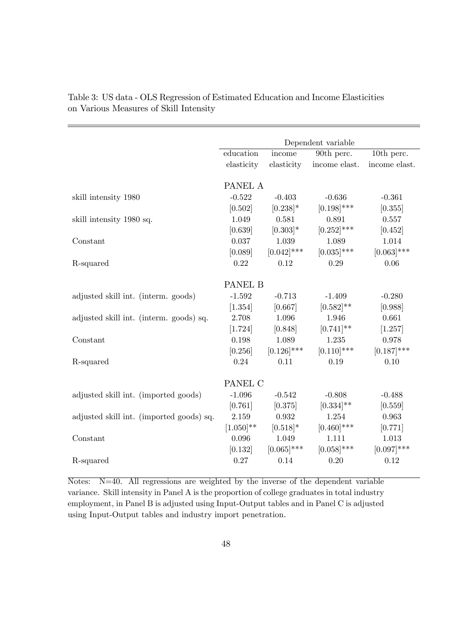|                                          | Dependent variable |               |                |                  |  |  |
|------------------------------------------|--------------------|---------------|----------------|------------------|--|--|
|                                          | education          | income        | 90th perc.     | 10th perc.       |  |  |
|                                          | elasticity         | elasticity    | income elast.  | income elast.    |  |  |
|                                          |                    |               |                |                  |  |  |
|                                          | PANEL A            |               |                |                  |  |  |
| skill intensity 1980                     | $-0.522$           | $-0.403$      | $-0.636$       | $-0.361$         |  |  |
|                                          | [0.502]            | $[0.238]$ *   | $[0.198]$ ***  | [0.355]          |  |  |
| skill intensity 1980 sq.                 | 1.049              | 0.581         | 0.891          | 0.557            |  |  |
|                                          | [0.639]            | $[0.303]*$    | $[0.252]$ ***  | [0.452]          |  |  |
| Constant                                 | 0.037              | 1.039         | 1.089          | 1.014            |  |  |
|                                          | [0.089]            | $[0.042]$ *** | $[0.035]$ ***  | $[0.063]$ ***    |  |  |
| R-squared                                | 0.22               | 0.12          | 0.29           | 0.06             |  |  |
|                                          |                    |               |                |                  |  |  |
|                                          | PANEL B            |               |                |                  |  |  |
| adjusted skill int. (interm. goods)      | $-1.592$           | $-0.713$      | $-1.409$       | $-0.280$         |  |  |
|                                          | [1.354]            | [0.667]       | $[0.582]^{**}$ | [0.988]          |  |  |
| adjusted skill int. (interm. goods) sq.  | 2.708              | 1.096         | 1.946          | 0.661            |  |  |
|                                          | [1.724]            | [0.848]       | $[0.741]$ **   | [1.257]          |  |  |
| Constant                                 | 0.198              | 1.089         | 1.235          | 0.978            |  |  |
|                                          | [0.256]            | $[0.126]$ *** | $[0.110]$ ***  | $[0.187]$ ***    |  |  |
| R-squared                                | 0.24               | 0.11          | 0.19           | 0.10             |  |  |
|                                          | PANEL C            |               |                |                  |  |  |
|                                          | $-1.096$           | $-0.542$      | $-0.808$       | $-0.488$         |  |  |
| adjusted skill int. (imported goods)     | [0.761]            | [0.375]       | $[0.334]^{**}$ | [0.559]          |  |  |
|                                          | 2.159              | 0.932         | 1.254          | 0.963            |  |  |
| adjusted skill int. (imported goods) sq. | $[1.050]^{**}$     | $[0.518]*$    | $[0.460]$ ***  |                  |  |  |
| Constant                                 | 0.096              | 1.049         | 1.111          | [0.771]<br>1.013 |  |  |
|                                          |                    | $[0.065]$ *** | $[0.058]$ ***  |                  |  |  |
|                                          | [0.132]            |               |                | $[0.097]$ ***    |  |  |
| R-squared                                | 0.27               | 0.14          | 0.20           | 0.12             |  |  |

Table 3: US data - OLS Regression of Estimated Education and Income Elasticities on Various Measures of Skill Intensity

Notes: N=40. All regressions are weighted by the inverse of the dependent variable variance. Skill intensity in Panel A is the proportion of college graduates in total industry employment, in Panel B is adjusted using Input-Output tables and in Panel C is adjusted using Input-Output tables and industry import penetration.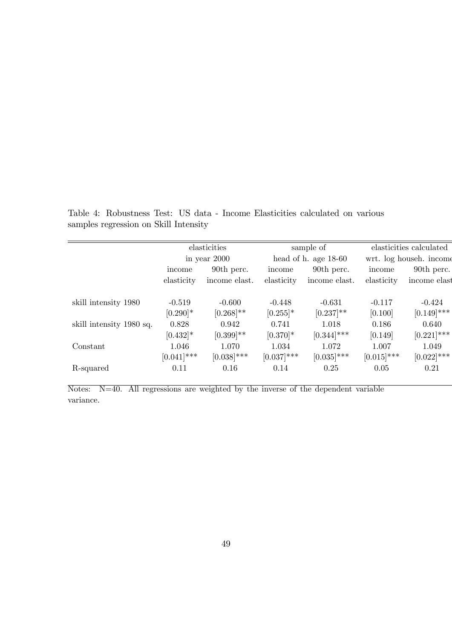Table 4: Robustness Test: US data - Income Elasticities calculated on various samples regression on Skill Intensity

|                          | elasticities  |                |               | sample of              |               | elasticities calculated |  |  |
|--------------------------|---------------|----------------|---------------|------------------------|---------------|-------------------------|--|--|
|                          |               | in year $2000$ |               | head of h. age $18-60$ |               | wrt. log househ. income |  |  |
|                          | income        | 90th perc.     | income        | 90th perc.             | income        | 90th perc.              |  |  |
|                          | elasticity    | income elast.  | elasticity    | income elast.          | elasticity    | income elast            |  |  |
| skill intensity 1980     | $-0.519$      | $-0.600$       | $-0.448$      | $-0.631$               | $-0.117$      | $-0.424$                |  |  |
|                          | $[0.290]$ *   | $[0.268]$ **   | $[0.255]$ *   | $[0.237]$ **           | [0.100]       | $[0.149]$ ***           |  |  |
| skill intensity 1980 sq. | 0.828         | 0.942          | 0.741         | 1.018                  | 0.186         | 0.640                   |  |  |
|                          | $[0.432]$ *   | $[0.399]$ **   | $[0.370]$ *   | $[0.344]$ ***          | [0.149]       | $[0.221]$ ***           |  |  |
| Constant                 | 1.046         | 1.070          | 1.034         | 1.072                  | 1.007         | 1.049                   |  |  |
|                          | $[0.041]$ *** | $[0.038]$ ***  | $[0.037]$ *** | $[0.035]$ ***          | $[0.015]$ *** | $[0.022]$ ***           |  |  |
| R-squared                | 0.11          | 0.16           | 0.14          | 0.25                   | 0.05          | 0.21                    |  |  |
|                          |               |                |               |                        |               |                         |  |  |

Notes: N=40. All regressions are weighted by the inverse of the dependent variable variance.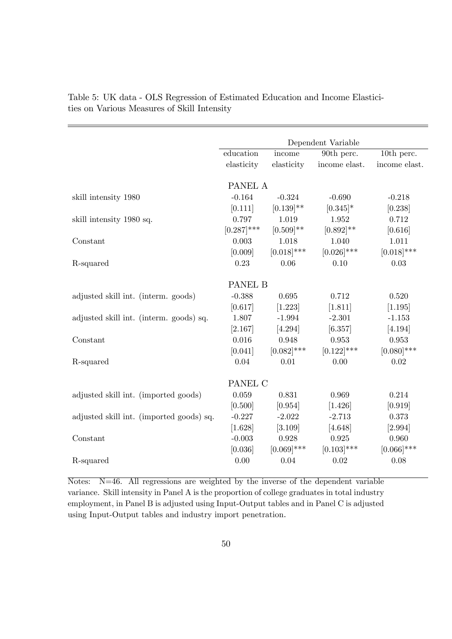|                                          |               |                | Dependent Variable |               |
|------------------------------------------|---------------|----------------|--------------------|---------------|
|                                          | education     | income         | 90th perc.         | 10th perc.    |
|                                          | elasticity    | elasticity     | income elast.      | income elast. |
|                                          |               |                |                    |               |
|                                          | PANEL A       |                |                    |               |
| skill intensity 1980                     | $-0.164$      | $-0.324$       | $-0.690$           | $-0.218$      |
|                                          | [0.111]       | $[0.139]^{**}$ | $[0.345]$ *        | [0.238]       |
| skill intensity 1980 sq.                 | 0.797         | 1.019          | 1.952              | 0.712         |
|                                          | $[0.287]$ *** | $[0.509]$ **   | $[0.892]^{**}$     | [0.616]       |
| Constant                                 | 0.003         | 1.018          | 1.040              | 1.011         |
|                                          | [0.009]       | $[0.018]$ ***  | $[0.026]$ ***      | $[0.018]$ *** |
| R-squared                                | 0.23          | 0.06           | 0.10               | 0.03          |
|                                          |               |                |                    |               |
|                                          | PANEL B       |                |                    |               |
| adjusted skill int. (interm. goods)      | $-0.388$      | 0.695          | 0.712              | 0.520         |
|                                          | [0.617]       | [1.223]        | [1.811]            | [1.195]       |
| adjusted skill int. (interm. goods) sq.  | 1.807         | $-1.994$       | $-2.301$           | $-1.153$      |
|                                          | [2.167]       | [4.294]        | [6.357]            | [4.194]       |
| Constant                                 | 0.016         | 0.948          | 0.953              | 0.953         |
|                                          | [0.041]       | $[0.082]$ ***  | $[0.122]$ ***      | $[0.080]$ *** |
| R-squared                                | 0.04          | 0.01           | 0.00               | 0.02          |
|                                          |               |                |                    |               |
|                                          | PANEL C       |                |                    |               |
| adjusted skill int. (imported goods)     | 0.059         | 0.831          | 0.969              | 0.214         |
|                                          | [0.500]       | [0.954]        | [1.426]            | [0.919]       |
| adjusted skill int. (imported goods) sq. | $-0.227$      | $-2.022$       | $-2.713$           | 0.373         |
|                                          | [1.628]       | [3.109]        | [4.648]            | [2.994]       |
| Constant                                 | $-0.003$      | 0.928          | 0.925              | 0.960         |
|                                          | [0.036]       | $[0.069]$ ***  | $[0.103]$ ***      | $[0.066]$ *** |
| R-squared                                | 0.00          | 0.04           | 0.02               | 0.08          |

Table 5: UK data - OLS Regression of Estimated Education and Income Elasticities on Various Measures of Skill Intensity

Notes: N=46. All regressions are weighted by the inverse of the dependent variable variance. Skill intensity in Panel A is the proportion of college graduates in total industry employment, in Panel B is adjusted using Input-Output tables and in Panel C is adjusted using Input-Output tables and industry import penetration.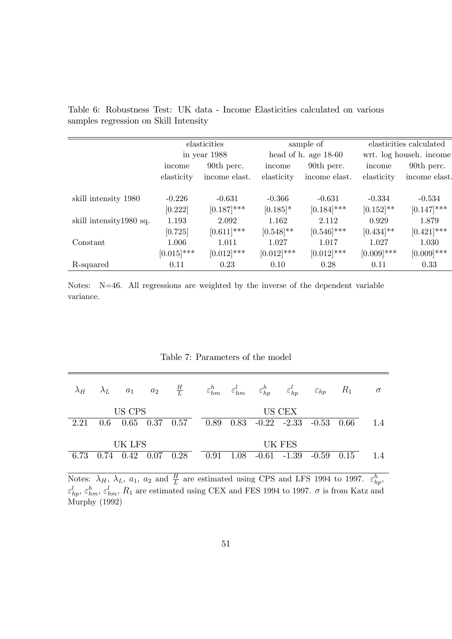|                          | elasticities  |               |               | sample of              | elasticities calculated |               |  |
|--------------------------|---------------|---------------|---------------|------------------------|-------------------------|---------------|--|
|                          |               | in year 1988  |               | head of h. age $18-60$ | wrt. log househ. income |               |  |
|                          | income        | 90th perc.    | income        | 90th perc.             |                         | 90th perc.    |  |
|                          | elasticity    | income elast. | elasticity    | income elast.          | elasticity              | income elast. |  |
| skill intensity 1980     | $-0.226$      | $-0.631$      | $-0.366$      | $-0.631$               | $-0.334$                | $-0.534$      |  |
|                          | [0.222]       | $[0.187]$ *** | $[0.185]$ *   | $[0.184]$ ***          | $[0.152]$ **            | $[0.147]$ *** |  |
| skill intensity 1980 sq. | 1.193         | 2.092         | 1.162         | 2.112                  | 0.929                   | 1.879         |  |
|                          | [0.725]       | $[0.611]$ *** | $[0.548]$ **  | $[0.546]$ ***          | $[0.434]$ **            | $[0.421]$ *** |  |
| Constant                 | 1.006         | 1.011         | 1.027         | 1.017                  | 1.027                   | 1.030         |  |
|                          | $[0.015]$ *** | $[0.012]$ *** | $[0.012]$ *** | $[0.012]$ ***          | $[0.009]$ ***           | $[0.009]$ *** |  |
| R-squared                | 0.11          | 0.23          | 0.10          | 0.28                   | 0.11                    | 0.33          |  |

Table 6: Robustness Test: UK data - Income Elasticities calculated on various samples regression on Skill Intensity

Notes: N=46. All regressions are weighted by the inverse of the dependent variable variance.

| $\lambda_H$ | $\lambda_L$ $a_1$ |        | $a_2$       | $\frac{H}{L}$ |      |      | $\varepsilon_{hm}^h \hspace{0.5cm} \varepsilon_{hm}^l \hspace{0.5cm} \varepsilon_{hp}^h$ | $\varepsilon_{hp}^l$ | $\varepsilon_{hp}$ | $R_1$ | $\sigma$ |
|-------------|-------------------|--------|-------------|---------------|------|------|------------------------------------------------------------------------------------------|----------------------|--------------------|-------|----------|
|             |                   | US CPS |             |               |      |      |                                                                                          | US CEX               |                    |       |          |
| 2.21        | 0.6               |        | $0.65$ 0.37 | 0.57          |      |      | $0.89$ $0.83$ $-0.22$ $-2.33$ $-0.53$                                                    |                      |                    | 0.66  | 1.4      |
|             |                   | UK LFS |             |               |      |      |                                                                                          | UK FES               |                    |       |          |
| 6.73        | 0.74              | 0.42   | 0.07        | 0.28          | 0.91 | 1.08 | $-0.61 -1.39$                                                                            |                      | $-0.59$            | 0.15  | 1.4      |
|             |                   |        |             |               |      |      |                                                                                          |                      |                    |       |          |

Notes:  $\lambda_H$ ,  $\lambda_L$ ,  $a_1$ ,  $a_2$  and  $\frac{H}{L}$  are estimated using CPS and LFS 1994 to 1997.  $\varepsilon_{hp}^h$ ,  $\varepsilon_{hp}^l, \varepsilon_{hm}^h, \varepsilon_{hm}^l, R_1$  are estimated using CEX and FES 1994 to 1997.  $\sigma$  is from Katz and Murphy (1992)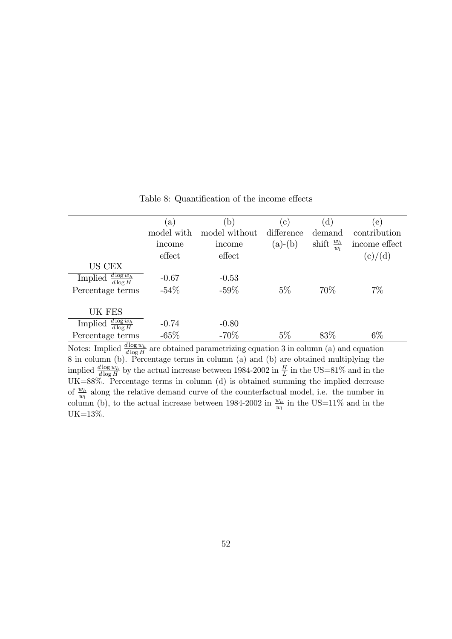|                                       | a)         | b             | $\vert$ C  | $\mathbf{d}$            | e.            |
|---------------------------------------|------------|---------------|------------|-------------------------|---------------|
|                                       | model with | model without | difference | demand                  | contribution  |
|                                       | income     | income        | $(a)-(b)$  | shift $\frac{w_h}{w_l}$ | income effect |
|                                       | effect     | effect        |            |                         | (c)/(d)       |
| US CEX                                |            |               |            |                         |               |
| Implied $\frac{d \log w_h}{d \log H}$ | $-0.67$    | $-0.53$       |            |                         |               |
| Percentage terms                      | $-54\%$    | $-59\%$       | $5\%$      | 70\%                    | $7\%$         |
|                                       |            |               |            |                         |               |
| UK FES                                |            |               |            |                         |               |
| $d \log w_h$<br>Implied<br>$d \log H$ | $-0.74$    | $-0.80$       |            |                         |               |
| Percentage terms                      | $-65%$     | $-70%$        | $5\%$      | 83\%                    | $6\%$         |

Table 8: Quantification of the income effects

Notes: Implied  $\frac{d \log w_h}{d \log H}$  are obtained parametrizing equation 3 in column (a) and equation 8 in column (b). Percentage terms in column (a) and (b) are obtained multiplying the implied  $\frac{d \log w_h}{d \log H}$  by the actual increase between 1984-2002 in  $\frac{H}{L}$  in the US=81% and in the UK=88%. Percentage terms in column (d) is obtained summing the implied decrease of  $\frac{w_h}{w_l}$  along the relative demand curve of the counterfactual model, i.e. the number in column (b), to the actual increase between 1984-2002 in  $\frac{w_h}{w_l}$  in the US=11% and in the UK=13%.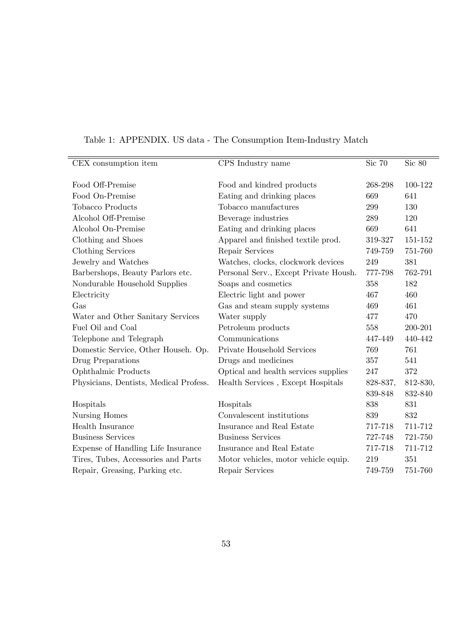| CEX consumption item                   | CPS Industry name                     | Sic 70   | Sic 80   |
|----------------------------------------|---------------------------------------|----------|----------|
|                                        |                                       |          |          |
| Food Off-Premise                       | Food and kindred products             | 268-298  | 100-122  |
| Food On-Premise                        | Eating and drinking places            | 669      | 641      |
| <b>Tobacco Products</b>                | Tobacco manufactures                  | 299      | 130      |
| Alcohol Off-Premise                    | Beverage industries                   | 289      | 120      |
| Alcohol On-Premise                     | Eating and drinking places            | 669      | 641      |
| Clothing and Shoes                     | Apparel and finished textile prod.    | 319-327  | 151-152  |
| Clothing Services                      | Repair Services                       | 749-759  | 751-760  |
| Jewelry and Watches                    | Watches, clocks, clockwork devices    | 249      | 381      |
| Barbershops, Beauty Parlors etc.       | Personal Serv., Except Private Housh. | 777-798  | 762-791  |
| Nondurable Household Supplies          | Soaps and cosmetics                   | 358      | 182      |
| Electricity                            | Electric light and power              | 467      | 460      |
| Gas                                    | Gas and steam supply systems          | 469      | 461      |
| Water and Other Sanitary Services      | Water supply                          | 477      | 470      |
| Fuel Oil and Coal                      | Petroleum products                    | 558      | 200-201  |
| Telephone and Telegraph                | Communications                        | 447-449  | 440-442  |
| Domestic Service, Other Househ. Op.    | Private Household Services            | 769      | 761      |
| Drug Preparations                      | Drugs and medicines                   | 357      | 541      |
| Ophthalmic Products                    | Optical and health services supplies  | 247      | 372      |
| Physicians, Dentists, Medical Profess. | Health Services, Except Hospitals     | 828-837, | 812-830, |
|                                        |                                       | 839-848  | 832-840  |
| Hospitals                              | Hospitals                             | 838      | 831      |
| Nursing Homes                          | Convalescent institutions             | 839      | 832      |
| Health Insurance                       | Insurance and Real Estate             | 717-718  | 711-712  |
| <b>Business Services</b>               | <b>Business Services</b>              | 727-748  | 721-750  |
| Expense of Handling Life Insurance     | Insurance and Real Estate             | 717-718  | 711-712  |
| Tires, Tubes, Accessories and Parts    | Motor vehicles, motor vehicle equip.  | 219      | 351      |
| Repair, Greasing, Parking etc.         | Repair Services                       | 749-759  | 751-760  |

# Table 1: APPENDIX. US data - The Consumption Item-Industry Match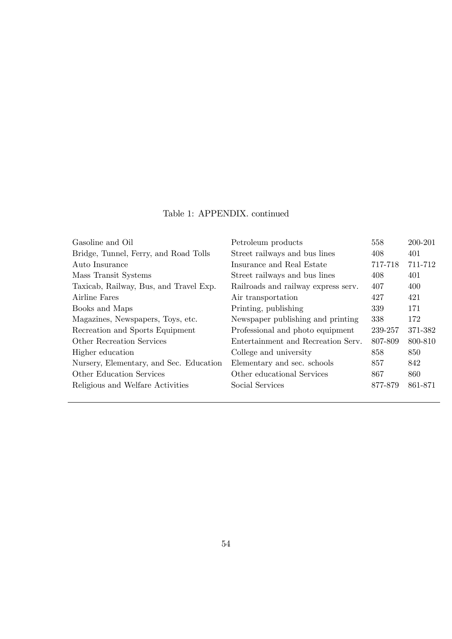### Table 1: APPENDIX. continued

| Gasoline and Oil                        | Petroleum products                  | 558     | 200-201 |
|-----------------------------------------|-------------------------------------|---------|---------|
| Bridge, Tunnel, Ferry, and Road Tolls   | Street railways and bus lines       | 408     | 401     |
| Auto Insurance                          | Insurance and Real Estate           | 717-718 | 711-712 |
| Mass Transit Systems                    | Street railways and bus lines       | 408     | 401     |
| Taxicab, Railway, Bus, and Travel Exp.  | Railroads and railway express serv. | 407     | 400     |
| Airline Fares                           | Air transportation                  | 427     | 421     |
| Books and Maps                          | Printing, publishing                | 339     | 171     |
| Magazines, Newspapers, Toys, etc.       | Newspaper publishing and printing   | 338     | 172     |
| Recreation and Sports Equipment         | Professional and photo equipment    | 239-257 | 371-382 |
| Other Recreation Services               | Entertainment and Recreation Serv.  | 807-809 | 800-810 |
| Higher education                        | College and university              | 858     | 850     |
| Nursery, Elementary, and Sec. Education | Elementary and sec. schools         | 857     | 842     |
| Other Education Services                | Other educational Services          | 867     | 860     |
| Religious and Welfare Activities        | Social Services                     | 877-879 | 861-871 |
|                                         |                                     |         |         |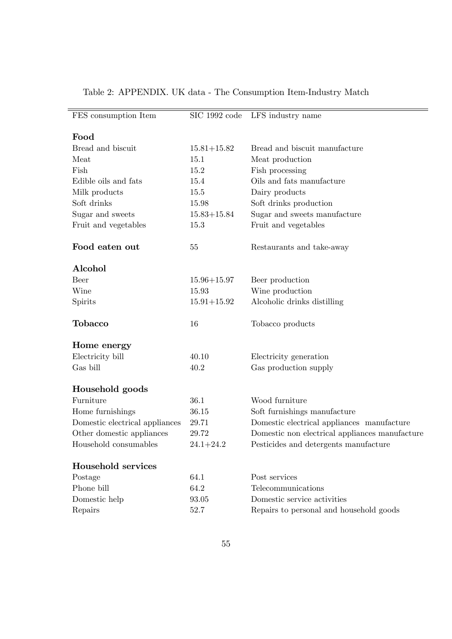| FES consumption Item           | $SIC$ 1992 code | LFS industry name                                                      |
|--------------------------------|-----------------|------------------------------------------------------------------------|
|                                |                 |                                                                        |
| Food                           |                 |                                                                        |
| Bread and biscuit              | $15.81 + 15.82$ | Bread and biscuit manufacture                                          |
| Meat                           | 15.1            | Meat production                                                        |
| Fish                           | 15.2            | Fish processing                                                        |
| Edible oils and fats           | 15.4            | Oils and fats manufacture                                              |
| Milk products                  | 15.5            | Dairy products                                                         |
| Soft drinks                    | 15.98           | Soft drinks production                                                 |
| Sugar and sweets               | $15.83 + 15.84$ | Sugar and sweets manufacture                                           |
| Fruit and vegetables           | 15.3            | Fruit and vegetables                                                   |
|                                |                 |                                                                        |
| Food eaten out                 | $55\,$          | Restaurants and take-away                                              |
|                                |                 |                                                                        |
| Alcohol                        |                 |                                                                        |
| <b>Beer</b>                    | $15.96 + 15.97$ | Beer production                                                        |
| Wine                           | 15.93           | Wine production                                                        |
| Spirits                        | $15.91 + 15.92$ | Alcoholic drinks distilling                                            |
|                                |                 |                                                                        |
| <b>Tobacco</b>                 | 16              | Tobacco products                                                       |
|                                |                 |                                                                        |
| Home energy                    |                 |                                                                        |
| Electricity bill               | 40.10           | Electricity generation                                                 |
| Gas bill                       | 40.2            | Gas production supply                                                  |
|                                |                 |                                                                        |
| Household goods                |                 |                                                                        |
| Furniture                      | 36.1            | Wood furniture                                                         |
| Home furnishings               | 36.15           | Soft furnishings manufacture                                           |
| Domestic electrical appliances | 29.71           | Domestic electrical appliances manufacture                             |
|                                |                 |                                                                        |
| Other domestic appliances      | 29.72           | Domestic non electrical appliances manufacture                         |
| Household consumables          | $24.1 + 24.2$   | Pesticides and detergents manufacture                                  |
|                                |                 |                                                                        |
| Household services             |                 |                                                                        |
| Postage                        | 64.1            | Post services                                                          |
| Phone bill                     | 64.2            | Telecommunications                                                     |
| Domestic help<br>Repairs       | 93.05<br>52.7   | Domestic service activities<br>Repairs to personal and household goods |

# Table 2: APPENDIX. UK data - The Consumption Item-Industry Match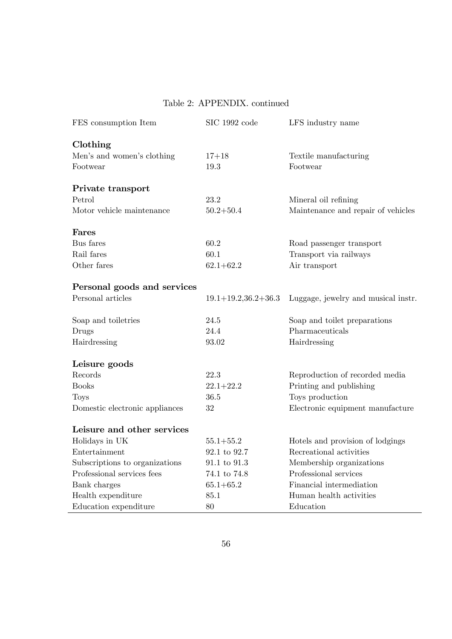#### Table 2: APPENDIX. continued

| FES consumption Item           | SIC 1992 code            | LFS industry name                   |
|--------------------------------|--------------------------|-------------------------------------|
| Clothing                       |                          |                                     |
| Men's and women's clothing     | $17 + 18$                | Textile manufacturing               |
| Footwear                       | 19.3                     | Footwear                            |
| Private transport              |                          |                                     |
| Petrol                         | 23.2                     | Mineral oil refining                |
| Motor vehicle maintenance      | $50.2 + 50.4$            | Maintenance and repair of vehicles  |
| Fares                          |                          |                                     |
| Bus fares                      | 60.2                     | Road passenger transport            |
| Rail fares                     | 60.1                     | Transport via railways              |
| Other fares                    | $62.1 + 62.2$            | Air transport                       |
| Personal goods and services    |                          |                                     |
| Personal articles              | $19.1 + 19.236.2 + 36.3$ | Luggage, jewelry and musical instr. |
| Soap and toiletries            | 24.5                     | Soap and toilet preparations        |
| Drugs                          | 24.4                     | Pharmaceuticals                     |
| Hairdressing                   | 93.02                    | Hairdressing                        |
| Leisure goods                  |                          |                                     |
| Records                        | 22.3                     | Reproduction of recorded media      |
| <b>Books</b>                   | $22.1 + 22.2$            | Printing and publishing             |
| <b>Toys</b>                    | 36.5                     | Toys production                     |
| Domestic electronic appliances | 32                       | Electronic equipment manufacture    |
| Leisure and other services     |                          |                                     |
| Holidays in UK                 | $55.1 + 55.2$            | Hotels and provision of lodgings    |
| Entertainment                  | 92.1 to 92.7             | Recreational activities             |
| Subscriptions to organizations | 91.1 to 91.3             | Membership organizations            |
| Professional services fees     | 74.1 to 74.8             | Professional services               |
| Bank charges                   | $65.1 + 65.2$            | Financial intermediation            |
| Health expenditure             | 85.1                     | Human health activities             |
| Education expenditure          | 80                       | Education                           |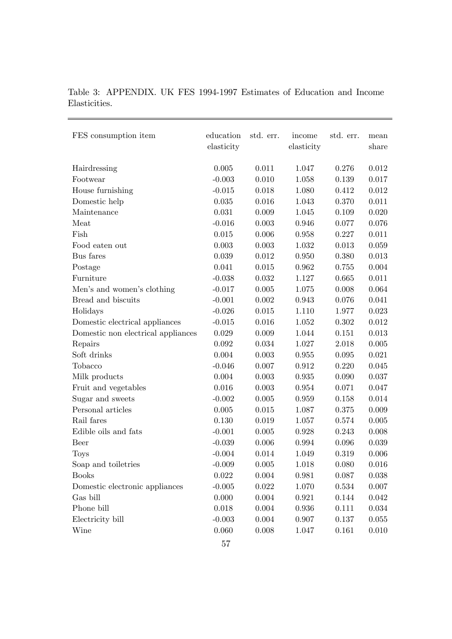### Table 3: APPENDIX. UK FES 1994-1997 Estimates of Education and Income Elasticities.

| FES consumption item               | education<br>elasticity | std. err. | income<br>elasticity | std. err. | mean<br>share |
|------------------------------------|-------------------------|-----------|----------------------|-----------|---------------|
| Hairdressing                       | 0.005                   | 0.011     | 1.047                | 0.276     | 0.012         |
| Footwear                           | $-0.003$                | 0.010     | 1.058                | 0.139     | 0.017         |
| House furnishing                   | $-0.015$                | 0.018     | 1.080                | 0.412     | 0.012         |
| Domestic help                      | 0.035                   | 0.016     | 1.043                | 0.370     | 0.011         |
| Maintenance                        | 0.031                   | 0.009     | 1.045                | 0.109     | 0.020         |
| Meat                               | $-0.016$                | 0.003     | 0.946                | 0.077     | 0.076         |
| Fish                               | 0.015                   | 0.006     | $\,0.958\,$          | 0.227     | 0.011         |
| Food eaten out                     | 0.003                   | 0.003     | 1.032                | 0.013     | 0.059         |
| Bus fares                          | 0.039                   | 0.012     | 0.950                | 0.380     | 0.013         |
| Postage                            | 0.041                   | 0.015     | 0.962                | 0.755     | 0.004         |
| Furniture                          | $-0.038$                | 0.032     | 1.127                | 0.665     | 0.011         |
| Men's and women's clothing         | $-0.017$                | 0.005     | 1.075                | 0.008     | 0.064         |
| Bread and biscuits                 | $-0.001$                | 0.002     | 0.943                | 0.076     | 0.041         |
| Holidays                           | $-0.026$                | 0.015     | 1.110                | 1.977     | 0.023         |
| Domestic electrical appliances     | $-0.015$                | 0.016     | 1.052                | 0.302     | $0.012\,$     |
| Domestic non electrical appliances | 0.029                   | 0.009     | 1.044                | 0.151     | 0.013         |
| Repairs                            | 0.092                   | 0.034     | 1.027                | 2.018     | 0.005         |
| Soft drinks                        | 0.004                   | 0.003     | 0.955                | 0.095     | 0.021         |
| Tobacco                            | $-0.046$                | 0.007     | 0.912                | 0.220     | 0.045         |
| Milk products                      | 0.004                   | 0.003     | 0.935                | 0.090     | 0.037         |
| Fruit and vegetables               | 0.016                   | 0.003     | 0.954                | 0.071     | 0.047         |
| Sugar and sweets                   | $-0.002$                | 0.005     | 0.959                | 0.158     | 0.014         |
| Personal articles                  | 0.005                   | 0.015     | 1.087                | 0.375     | 0.009         |
| Rail fares                         | 0.130                   | 0.019     | 1.057                | 0.574     | 0.005         |
| Edible oils and fats               | $-0.001$                | 0.005     | 0.928                | 0.243     | 0.008         |
| Beer                               | $-0.039$                | 0.006     | 0.994                | 0.096     | 0.039         |
| Toys                               | $-0.004$                | 0.014     | 1.049                | 0.319     | 0.006         |
| Soap and toiletries                | $-0.009$                | 0.005     | 1.018                | 0.080     | $0.016\,$     |
| <b>Books</b>                       | 0.022                   | 0.004     | 0.981                | 0.087     | 0.038         |
| Domestic electronic appliances     | $-0.005$                | 0.022     | 1.070                | 0.534     | 0.007         |
| Gas bill                           | 0.000                   | 0.004     | 0.921                | 0.144     | 0.042         |
| Phone bill                         | 0.018                   | 0.004     | 0.936                | 0.111     | 0.034         |
| Electricity bill                   | $-0.003$                | 0.004     | 0.907                | 0.137     | 0.055         |
| Wine                               | 0.060                   | 0.008     | 1.047                | 0.161     | 0.010         |
|                                    |                         |           |                      |           |               |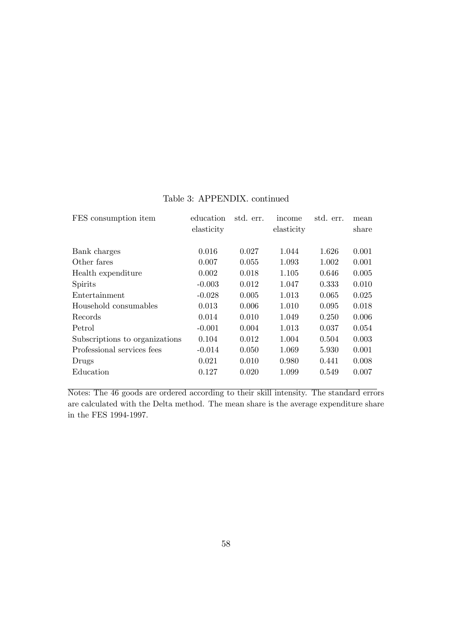| education<br>elasticity | std. err. | income<br>elasticity | std. err. | mean<br>share |
|-------------------------|-----------|----------------------|-----------|---------------|
|                         |           |                      |           | 0.001         |
| 0.007                   | 0.055     | 1.093                | 1.002     | 0.001         |
| 0.002                   | 0.018     | 1.105                | 0.646     | 0.005         |
| $-0.003$                | 0.012     | 1.047                | 0.333     | 0.010         |
| $-0.028$                | 0.005     | 1.013                | 0.065     | 0.025         |
| 0.013                   | 0.006     | 1.010                | 0.095     | 0.018         |
| 0.014                   | 0.010     | 1.049                | 0.250     | 0.006         |
| $-0.001$                | 0.004     | 1.013                | 0.037     | 0.054         |
| 0.104                   | 0.012     | 1.004                | 0.504     | 0.003         |
| $-0.014$                | 0.050     | 1.069                | 5.930     | 0.001         |
| 0.021                   | 0.010     | 0.980                | 0.441     | 0.008         |
| 0.127                   | 0.020     | 1.099                | 0.549     | 0.007         |
|                         | 0.016     | 0.027                | 1.044     | 1.626         |

### Table 3: APPENDIX. continued

Notes: The 46 goods are ordered according to their skill intensity. The standard errors are calculated with the Delta method. The mean share is the average expenditure share in the FES 1994-1997.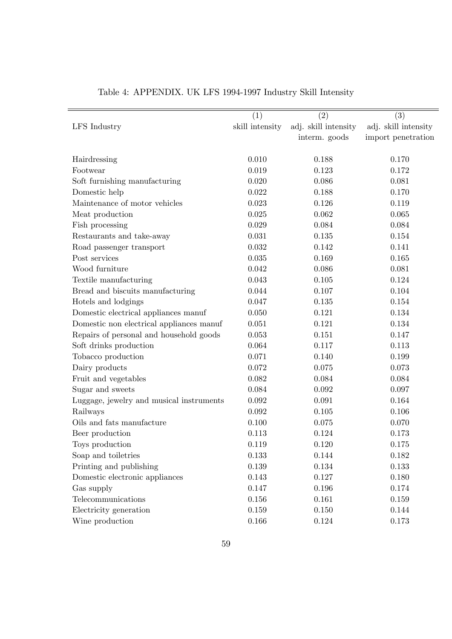|                                          | (1)             | (2)                  | (3)                  |
|------------------------------------------|-----------------|----------------------|----------------------|
| LFS Industry                             | skill intensity | adj. skill intensity | adj. skill intensity |
|                                          |                 | interm. goods        | import penetration   |
|                                          |                 |                      |                      |
| Hairdressing                             | 0.010           | 0.188                | 0.170                |
| Footwear                                 | 0.019           | 0.123                | 0.172                |
| Soft furnishing manufacturing            | 0.020           | 0.086                | 0.081                |
| Domestic help                            | 0.022           | 0.188                | 0.170                |
| Maintenance of motor vehicles            | 0.023           | 0.126                | 0.119                |
| Meat production                          | 0.025           | 0.062                | 0.065                |
| Fish processing                          | 0.029           | 0.084                | 0.084                |
| Restaurants and take-away                | 0.031           | 0.135                | 0.154                |
| Road passenger transport                 | 0.032           | 0.142                | 0.141                |
| Post services                            | 0.035           | 0.169                | 0.165                |
| Wood furniture                           | 0.042           | 0.086                | 0.081                |
| Textile manufacturing                    | 0.043           | 0.105                | 0.124                |
| Bread and biscuits manufacturing         | 0.044           | 0.107                | 0.104                |
| Hotels and lodgings                      | 0.047           | 0.135                | 0.154                |
| Domestic electrical appliances manuf     | 0.050           | 0.121                | 0.134                |
| Domestic non electrical appliances manuf | 0.051           | 0.121                | 0.134                |
| Repairs of personal and household goods  | 0.053           | 0.151                | 0.147                |
| Soft drinks production                   | 0.064           | 0.117                | 0.113                |
| Tobacco production                       | 0.071           | 0.140                | 0.199                |
| Dairy products                           | 0.072           | 0.075                | 0.073                |
| Fruit and vegetables                     | 0.082           | 0.084                | 0.084                |
| Sugar and sweets                         | 0.084           | 0.092                | 0.097                |
| Luggage, jewelry and musical instruments | 0.092           | 0.091                | 0.164                |
| Railways                                 | 0.092           | 0.105                | 0.106                |
| Oils and fats manufacture                | 0.100           | 0.075                | 0.070                |
| Beer production                          | 0.113           | 0.124                | 0.173                |
| Toys production                          | 0.119           | 0.120                | 0.175                |
| Soap and toiletries                      | 0.133           | 0.144                | 0.182                |
| Printing and publishing                  | $0.139\,$       | 0.134                | 0.133                |
| Domestic electronic appliances           | 0.143           | 0.127                | 0.180                |
| Gas supply                               | 0.147           | 0.196                | 0.174                |
| Telecommunications                       | 0.156           | 0.161                | 0.159                |
| Electricity generation                   | $0.159\,$       | 0.150                | 0.144                |
| Wine production                          | 0.166           | 0.124                | 0.173                |

# Table 4: APPENDIX. UK LFS 1994-1997 Industry Skill Intensity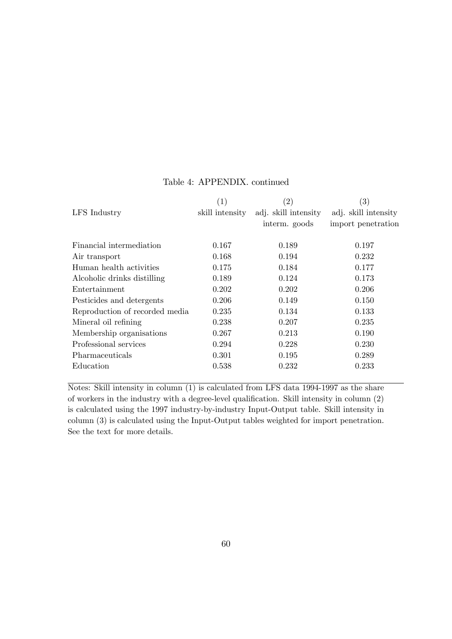|                                | $\left( 1\right)$ | $\left( 2\right)$    | $\left( 3\right)$    |
|--------------------------------|-------------------|----------------------|----------------------|
| LFS Industry                   | skill intensity   | adj. skill intensity | adj. skill intensity |
|                                |                   | interm. goods        | import penetration   |
| Financial intermediation       | 0.167             | 0.189                | 0.197                |
| Air transport                  | 0.168             | 0.194                | 0.232                |
| Human health activities        | 0.175             | 0.184                | 0.177                |
| Alcoholic drinks distilling    | 0.189             | 0.124                | 0.173                |
| Entertainment                  | 0.202             | 0.202                | 0.206                |
| Pesticides and detergents      | 0.206             | 0.149                | 0.150                |
| Reproduction of recorded media | 0.235             | 0.134                | 0.133                |
| Mineral oil refining           | 0.238             | 0.207                | 0.235                |
| Membership organisations       | 0.267             | 0.213                | 0.190                |
| Professional services          | 0.294             | 0.228                | 0.230                |
| Pharmaceuticals                | 0.301             | 0.195                | 0.289                |
| Education                      | 0.538             | 0.232                | 0.233                |
|                                |                   |                      |                      |

#### Table 4: APPENDIX. continued

Notes: Skill intensity in column (1) is calculated from LFS data 1994-1997 as the share of workers in the industry with a degree-level qualification. Skill intensity in column  $(2)$ is calculated using the 1997 industry-by-industry Input-Output table. Skill intensity in column (3) is calculated using the Input-Output tables weighted for import penetration. See the text for more details.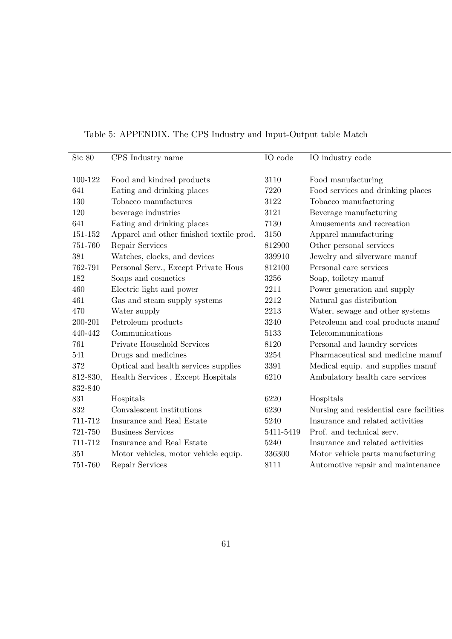| Sic 80   | CPS Industry name                        | IO code   | IO industry code                        |
|----------|------------------------------------------|-----------|-----------------------------------------|
|          |                                          |           |                                         |
| 100-122  | Food and kindred products                | 3110      | Food manufacturing                      |
| 641      | Eating and drinking places               | 7220      | Food services and drinking places       |
| 130      | Tobacco manufactures                     | 3122      | Tobacco manufacturing                   |
| 120      | beverage industries                      | 3121      | Beverage manufacturing                  |
| 641      | Eating and drinking places               | 7130      | Amusements and recreation               |
| 151-152  | Apparel and other finished textile prod. | 3150      | Apparel manufacturing                   |
| 751-760  | Repair Services                          | 812900    | Other personal services                 |
| 381      | Watches, clocks, and devices             | 339910    | Jewelry and silverware manuf            |
| 762-791  | Personal Serv., Except Private Hous      | 812100    | Personal care services                  |
| 182      | Soaps and cosmetics                      | 3256      | Soap, toiletry manuf                    |
| 460      | Electric light and power                 | 2211      | Power generation and supply             |
| 461      | Gas and steam supply systems             | 2212      | Natural gas distribution                |
| 470      | Water supply                             | 2213      | Water, sewage and other systems         |
| 200-201  | Petroleum products                       | 3240      | Petroleum and coal products manuf       |
| 440-442  | Communications                           | 5133      | Telecommunications                      |
| 761      | Private Household Services               | 8120      | Personal and laundry services           |
| 541      | Drugs and medicines                      | 3254      | Pharmaceutical and medicine manuf       |
| 372      | Optical and health services supplies     | 3391      | Medical equip. and supplies manuf       |
| 812-830, | Health Services, Except Hospitals        | 6210      | Ambulatory health care services         |
| 832-840  |                                          |           |                                         |
| 831      | Hospitals                                | 6220      | Hospitals                               |
| 832      | Convalescent institutions                | 6230      | Nursing and residential care facilities |
| 711-712  | Insurance and Real Estate                | 5240      | Insurance and related activities        |
| 721-750  | <b>Business Services</b>                 | 5411-5419 | Prof. and technical serv.               |
| 711-712  | Insurance and Real Estate                | 5240      | Insurance and related activities        |
| 351      | Motor vehicles, motor vehicle equip.     | 336300    | Motor vehicle parts manufacturing       |
| 751-760  | Repair Services                          | 8111      | Automotive repair and maintenance       |

Table 5: APPENDIX. The CPS Industry and Input-Output table Match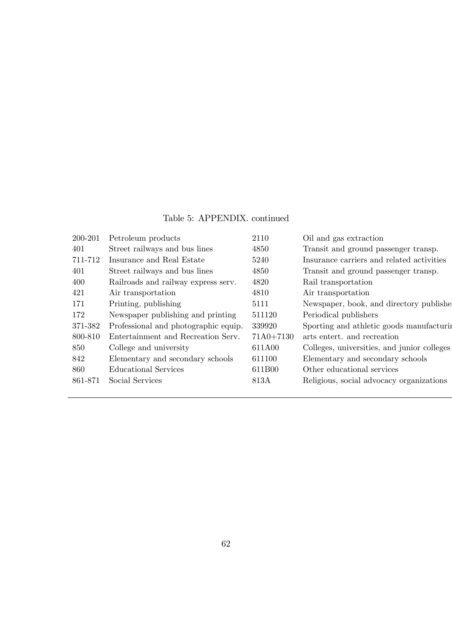### Table 5: APPENDIX. continued

| 200-201 | Petroleum products                   | 2110          | Oil and gas extraction                      |
|---------|--------------------------------------|---------------|---------------------------------------------|
| 401     | Street railways and bus lines        | 4850          | Transit and ground passenger transp.        |
| 711-712 | Insurance and Real Estate            | 5240          | Insurance carriers and related activities   |
| 401     | Street railways and bus lines        | 4850          | Transit and ground passenger transp.        |
| 400     | Railroads and railway express serv.  | 4820          | Rail transportation                         |
| 421     | Air transportation                   | 4810          | Air transportation                          |
| 171     | Printing, publishing                 | 5111          | Newspaper, book, and directory publishe     |
| 172     | Newspaper publishing and printing    | 511120        | Periodical publishers                       |
| 371-382 | Professional and photographic equip. | 339920        | Sporting and athletic goods manufacturing   |
| 800-810 | Entertainment and Recreation Serv.   | $71A0 + 7130$ | arts entert, and recreation                 |
| 850     | College and university               | 611A00        | Colleges, universities, and junior colleges |
| 842     | Elementary and secondary schools     | 611100        | Elementary and secondary schools            |
| 860     | Educational Services                 | 611B00        | Other educational services                  |
| 861-871 | Social Services                      | 813A          | Religious, social advocacy organizations    |
|         |                                      |               |                                             |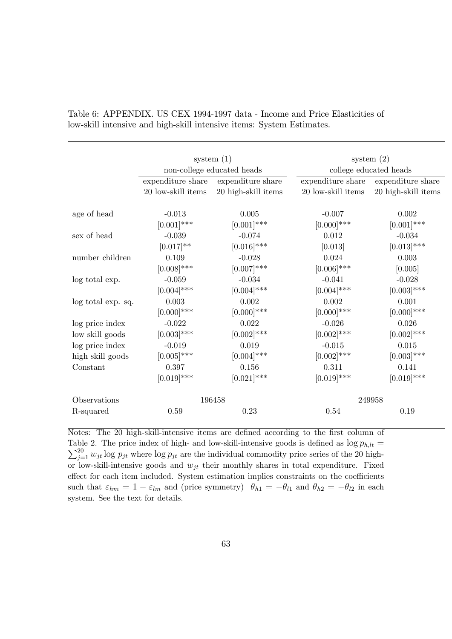|                    | system $(1)$               |                     | system $(2)$           |                     |  |
|--------------------|----------------------------|---------------------|------------------------|---------------------|--|
|                    | non-college educated heads |                     | college educated heads |                     |  |
|                    | expenditure share          | expenditure share   | expenditure share      | expenditure share   |  |
|                    | 20 low-skill items         | 20 high-skill items | 20 low-skill items     | 20 high-skill items |  |
| age of head        | $-0.013$                   | 0.005               | $-0.007$               | 0.002               |  |
|                    | $[0.001]^{***}$            | $[0.001]$ ***       | $[0.000]$ ***          | $[0.001]$ ***       |  |
|                    |                            |                     |                        |                     |  |
| sex of head        | $-0.039$                   | $-0.074$            | 0.012                  | $-0.034$            |  |
|                    | $[0.017]**$                | $[0.016]$ ***       | [0.013]                | $[0.013]$ ***       |  |
| number children    | 0.109                      | $-0.028$            | 0.024                  | 0.003               |  |
|                    | $[0.008]$ ***              | $[0.007]$ ***       | $[0.006]$ ***          | [0.005]             |  |
| log total exp.     | $-0.059$                   | $-0.034$            | $-0.041$               | $-0.028$            |  |
|                    | $[0.004]$ ***              | $[0.004]$ ***       | $[0.004]$ ***          | $[0.003]$ ***       |  |
| log total exp. sq. | 0.003                      | 0.002               | 0.002                  | 0.001               |  |
|                    | $[0.000]$ ***              | $[0.000]$ ***       | $[0.000]$ ***          | $[0.000]$ ***       |  |
| log price index    | $-0.022$                   | 0.022               | $-0.026$               | 0.026               |  |
| low skill goods    | $[0.003]$ ***              | $[0.002]$ ***       | $[0.002]$ ***          | $[0.002]$ ***       |  |
| log price index    | $-0.019$                   | 0.019               | $-0.015$               | 0.015               |  |
| high skill goods   | $[0.005]$ ***              | $[0.004]$ ***       | $[0.002]$ ***          | $[0.003]$ ***       |  |
| Constant           | 0.397                      | 0.156               | 0.311                  | 0.141               |  |
|                    | $[0.019]$ ***              | $[0.021]$ ***       | $[0.019]$ ***          | $[0.019]$ ***       |  |
| Observations       |                            | 196458              |                        | 249958              |  |
| R-squared          | 0.59                       | 0.23                | 0.54                   | 0.19                |  |

Table 6: APPENDIX. US CEX 1994-1997 data - Income and Price Elasticities of low-skill intensive and high-skill intensive items: System Estimates.

Notes: The 20 high-skill-intensive items are defined according to the first column of Table 2. The price index of high- and low-skill-intensive goods is defined as  $\log p_{h,lt} =$  $\sum_{j=1}^{20} w_{jt} \log p_{jt}$  where  $\log p_{jt}$  are the individual commodity price series of the 20 highor low-skill-intensive goods and  $w_{jt}$  their monthly shares in total expenditure. Fixed effect for each item included. System estimation implies constraints on the coefficients such that  $\varepsilon_{hm} = 1 - \varepsilon_{lm}$  and (price symmetry)  $\theta_{h1} = -\theta_{l1}$  and  $\theta_{h2} = -\theta_{l2}$  in each system. See the text for details.